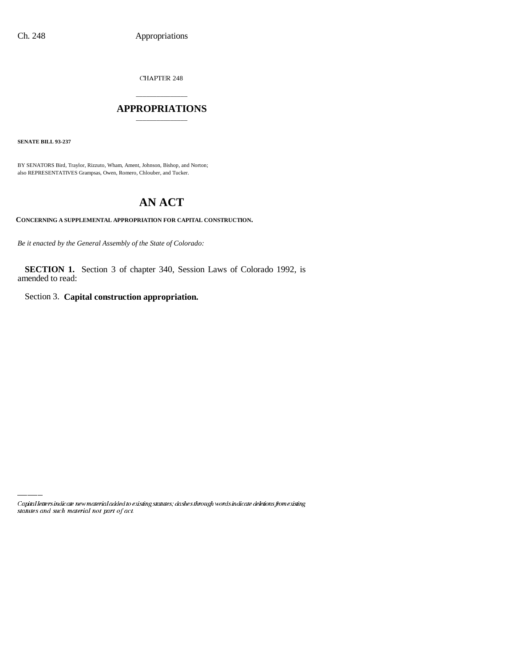CHAPTER 248

## \_\_\_\_\_\_\_\_\_\_\_\_\_\_\_ **APPROPRIATIONS** \_\_\_\_\_\_\_\_\_\_\_\_\_\_\_

**SENATE BILL 93-237**

BY SENATORS Bird, Traylor, Rizzuto, Wham, Ament, Johnson, Bishop, and Norton; also REPRESENTATIVES Grampsas, Owen, Romero, Chlouber, and Tucker.

# **AN ACT**

**CONCERNING A SUPPLEMENTAL APPROPRIATION FOR CAPITAL CONSTRUCTION.**

*Be it enacted by the General Assembly of the State of Colorado:*

**SECTION 1.** Section 3 of chapter 340, Session Laws of Colorado 1992, is amended to read:

Section 3. **Capital construction appropriation.**

Capital letters indicate new material added to existing statutes; dashes through words indicate deletions from existing statutes and such material not part of act.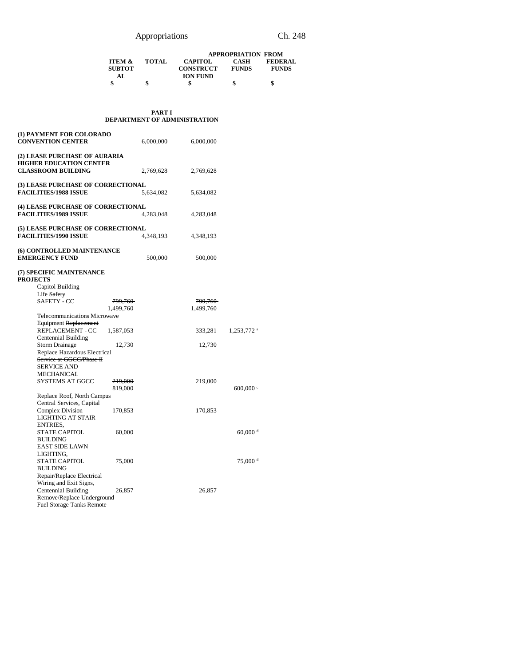|                   |              | <b>APPROPRIATION FROM</b> |              |                |  |  |
|-------------------|--------------|---------------------------|--------------|----------------|--|--|
| <b>ITEM &amp;</b> | <b>TOTAL</b> | <b>CAPITOL</b>            | CASH         | <b>FEDERAL</b> |  |  |
| <b>SUBTOT</b>     |              | <b>CONSTRUCT</b>          | <b>FUNDS</b> | <b>FUNDS</b>   |  |  |
| AL.               |              | <b>ION FUND</b>           |              |                |  |  |
|                   |              |                           |              |                |  |  |

### **PART I DEPARTMENT OF ADMINISTRATION**

| (1) PAYMENT FOR COLORADO<br><b>CONVENTION CENTER</b>                                         |           | 6,000,000 | 6,000,000 |                        |
|----------------------------------------------------------------------------------------------|-----------|-----------|-----------|------------------------|
| (2) LEASE PURCHASE OF AURARIA<br><b>HIGHER EDUCATION CENTER</b><br><b>CLASSROOM BUILDING</b> |           | 2,769,628 | 2,769,628 |                        |
| (3) LEASE PURCHASE OF CORRECTIONAL<br><b>FACILITIES/1988 ISSUE</b>                           |           | 5,634,082 | 5,634,082 |                        |
| (4) LEASE PURCHASE OF CORRECTIONAL<br><b>FACILITIES/1989 ISSUE</b>                           |           | 4,283,048 | 4,283,048 |                        |
| (5) LEASE PURCHASE OF CORRECTIONAL<br><b>FACILITIES/1990 ISSUE</b>                           |           | 4,348,193 | 4,348,193 |                        |
| (6) CONTROLLED MAINTENANCE<br><b>EMERGENCY FUND</b>                                          |           | 500,000   | 500,000   |                        |
| (7) SPECIFIC MAINTENANCE<br><b>PROJECTS</b>                                                  |           |           |           |                        |
| Capitol Building                                                                             |           |           |           |                        |
| Life Safety                                                                                  |           |           |           |                        |
| SAFETY - CC                                                                                  | 799,760   |           | 799,760   |                        |
|                                                                                              | 1,499,760 |           | 1,499,760 |                        |
| Telecommunications Microwave                                                                 |           |           |           |                        |
| Equipment Replacement                                                                        |           |           |           |                        |
| REPLACEMENT - CC                                                                             | 1,587,053 |           | 333,281   | 1,253,772 <sup>a</sup> |
| Centennial Building                                                                          |           |           |           |                        |
| <b>Storm Drainage</b>                                                                        | 12,730    |           | 12,730    |                        |
| Replace Hazardous Electrical<br>Service at GGCC/Phase H                                      |           |           |           |                        |
| <b>SERVICE AND</b>                                                                           |           |           |           |                        |
| MECHANICAL                                                                                   |           |           |           |                        |
| <b>SYSTEMS AT GGCC</b>                                                                       | 219,000   |           | 219,000   |                        |
|                                                                                              | 819,000   |           |           | $600,000$ $\circ$      |
| Replace Roof, North Campus                                                                   |           |           |           |                        |
| Central Services, Capital                                                                    |           |           |           |                        |
| Complex Division                                                                             | 170,853   |           | 170,853   |                        |
| LIGHTING AT STAIR                                                                            |           |           |           |                        |
| ENTRIES,                                                                                     |           |           |           |                        |
| <b>STATE CAPITOL</b>                                                                         | 60,000    |           |           | $60,000$ <sup>d</sup>  |
| <b>BUILDING</b>                                                                              |           |           |           |                        |
| <b>EAST SIDE LAWN</b>                                                                        |           |           |           |                        |
| LIGHTING,                                                                                    |           |           |           |                        |
| <b>STATE CAPITOL</b>                                                                         | 75,000    |           |           | 75,000 d               |
| <b>BUILDING</b>                                                                              |           |           |           |                        |
| Repair/Replace Electrical                                                                    |           |           |           |                        |
| Wiring and Exit Signs,                                                                       |           |           |           |                        |
| Centennial Building                                                                          | 26,857    |           | 26,857    |                        |
| Remove/Replace Underground<br><b>Fuel Storage Tanks Remote</b>                               |           |           |           |                        |
|                                                                                              |           |           |           |                        |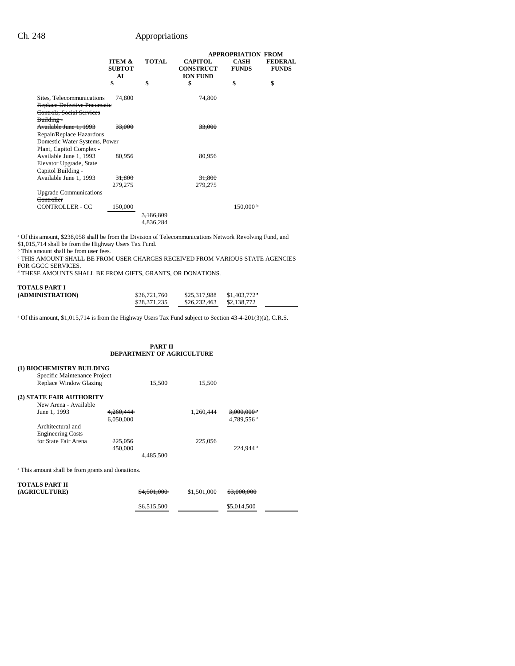|                                                                                                     |                               |                                   |                                                       | <b>APPROPRIATION FROM</b>   |                                |
|-----------------------------------------------------------------------------------------------------|-------------------------------|-----------------------------------|-------------------------------------------------------|-----------------------------|--------------------------------|
|                                                                                                     | ITEM &<br><b>SUBTOT</b><br>AL | <b>TOTAL</b>                      | <b>CAPITOL</b><br><b>CONSTRUCT</b><br><b>ION FUND</b> | <b>CASH</b><br><b>FUNDS</b> | <b>FEDERAL</b><br><b>FUNDS</b> |
|                                                                                                     | \$                            | \$                                | \$                                                    | \$                          | \$                             |
| Sites, Telecommunications<br>Replace Defective Pneumatic<br>Controls, Social Services<br>Building-  | 74,800                        |                                   | 74,800                                                |                             |                                |
| Available June 1, 1993<br>Repair/Replace Hazardous                                                  | 33.000                        |                                   | 33,000                                                |                             |                                |
| Domestic Water Systems, Power                                                                       |                               |                                   |                                                       |                             |                                |
| Plant, Capitol Complex -<br>Available June 1, 1993<br>Elevator Upgrade, State<br>Capitol Building - | 80,956                        |                                   | 80,956                                                |                             |                                |
| Available June 1, 1993                                                                              | 31,800                        |                                   | 31,800                                                |                             |                                |
|                                                                                                     | 279,275                       |                                   | 279,275                                               |                             |                                |
| <b>Upgrade Communications</b><br>Controller                                                         |                               |                                   |                                                       |                             |                                |
| CONTROLLER - CC                                                                                     | 150,000                       | <del>3.186.809</del><br>4,836,284 |                                                       | 150,000 b                   |                                |

<sup>a</sup> Of this amount, \$238,058 shall be from the Division of Telecommunications Network Revolving Fund, and \$1,015,714 shall be from the Highway Users Tax Fund.

b This amount shall be from user fees.

**CHIS AMOUNT SHALL BE FROM USER CHARGES RECEIVED FROM VARIOUS STATE AGENCIES** FOR GGCC SERVICES.

d THESE AMOUNTS SHALL BE FROM GIFTS, GRANTS, OR DONATIONS.

| <b>TOTALS PART I</b> |              |                         |                          |
|----------------------|--------------|-------------------------|--------------------------|
| (ADMINISTRATION)     | \$26,721,760 | <del>\$25.317.988</del> | <del>\$1.403.772</del> * |
|                      | \$28,371,235 | \$26,232,463            | \$2,138,772              |

<sup>a</sup> Of this amount, \$1,015,714 is from the Highway Users Tax Fund subject to Section 43-4-201(3)(a), C.R.S.

## **PART II DEPARTMENT OF AGRICULTURE**

|                                                              | (1) BIOCHEMISTRY BUILDING              |                      |           |             |                        |  |  |
|--------------------------------------------------------------|----------------------------------------|----------------------|-----------|-------------|------------------------|--|--|
|                                                              | Specific Maintenance Project           |                      |           |             |                        |  |  |
|                                                              | Replace Window Glazing                 |                      | 15,500    | 15,500      |                        |  |  |
|                                                              | (2) STATE FAIR AUTHORITY               |                      |           |             |                        |  |  |
|                                                              | New Arena - Available                  |                      |           |             |                        |  |  |
|                                                              | June 1, 1993                           | <del>4.260.444</del> |           | 1.260.444   | 3.000.000 °            |  |  |
|                                                              |                                        | 6.050.000            |           |             | 4.789.556 <sup>a</sup> |  |  |
|                                                              | Architectural and                      |                      |           |             |                        |  |  |
|                                                              | <b>Engineering Costs</b>               |                      |           |             |                        |  |  |
|                                                              | for State Fair Arena                   | 225.056              |           | 225,056     |                        |  |  |
|                                                              |                                        | 450,000              |           |             | 224.944 <sup>a</sup>   |  |  |
|                                                              |                                        |                      | 4.485.500 |             |                        |  |  |
| <sup>a</sup> This amount shall be from grants and donations. |                                        |                      |           |             |                        |  |  |
|                                                              | <b>TOTALS PART II</b><br>(AGRICULTURE) |                      |           | \$1,501,000 |                        |  |  |

 $$6,515,500$  \$5,014,500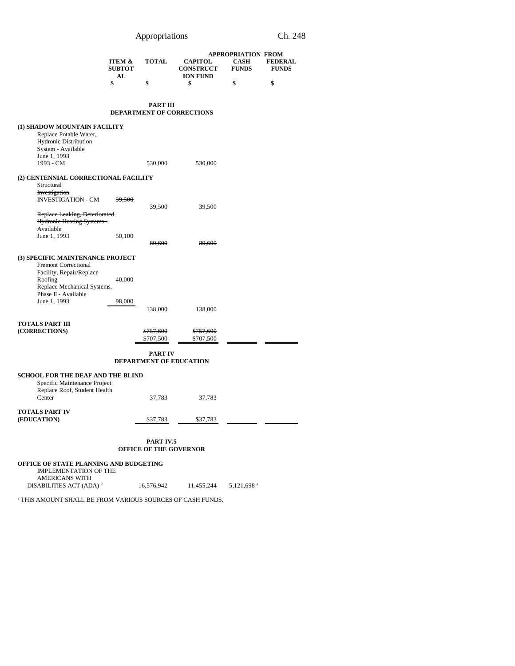|                                                    | ITEM &<br><b>SUBTOT</b><br>AL | <b>TOTAL</b>           | <b>CAPITOL</b><br><b>CONSTRUCT</b><br><b>ION FUND</b> | <b>APPROPRIATION FROM</b><br><b>CASH</b><br><b>FUNDS</b> | <b>FEDERAL</b><br><b>FUNDS</b> |
|----------------------------------------------------|-------------------------------|------------------------|-------------------------------------------------------|----------------------------------------------------------|--------------------------------|
|                                                    | \$                            | \$                     | \$                                                    | \$                                                       | \$                             |
|                                                    |                               | <b>PART III</b>        |                                                       |                                                          |                                |
|                                                    |                               |                        | DEPARTMENT OF CORRECTIONS                             |                                                          |                                |
| (1) SHADOW MOUNTAIN FACILITY                       |                               |                        |                                                       |                                                          |                                |
| Replace Potable Water,                             |                               |                        |                                                       |                                                          |                                |
| Hydronic Distribution                              |                               |                        |                                                       |                                                          |                                |
| System - Available<br>June 1, <del>1993</del>      |                               |                        |                                                       |                                                          |                                |
| 1993 - CM                                          |                               | 530,000                | 530,000                                               |                                                          |                                |
|                                                    |                               |                        |                                                       |                                                          |                                |
| (2) CENTENNIAL CORRECTIONAL FACILITY<br>Structural |                               |                        |                                                       |                                                          |                                |
| Investigation                                      |                               |                        |                                                       |                                                          |                                |
| <b>INVESTIGATION - CM</b>                          | 39,500                        |                        |                                                       |                                                          |                                |
|                                                    |                               | 39,500                 | 39,500                                                |                                                          |                                |
| Replace Leaking, Deteriorated                      |                               |                        |                                                       |                                                          |                                |
| <b>Hydronic Heating Systems -</b>                  |                               |                        |                                                       |                                                          |                                |
| Available                                          |                               |                        |                                                       |                                                          |                                |
| <del>June 1, 1993</del>                            | 50,100                        |                        |                                                       |                                                          |                                |
|                                                    |                               | 89,600                 | 89,600                                                |                                                          |                                |
| (3) SPECIFIC MAINTENANCE PROJECT                   |                               |                        |                                                       |                                                          |                                |
| Fremont Correctional                               |                               |                        |                                                       |                                                          |                                |
| Facility, Repair/Replace                           |                               |                        |                                                       |                                                          |                                |
| Roofing                                            | 40,000                        |                        |                                                       |                                                          |                                |
| Replace Mechanical Systems,                        |                               |                        |                                                       |                                                          |                                |
| Phase II - Available                               |                               |                        |                                                       |                                                          |                                |
| June 1, 1993                                       | 98,000                        |                        |                                                       |                                                          |                                |
|                                                    |                               | 138,000                | 138,000                                               |                                                          |                                |
| TOTALS PART III                                    |                               |                        |                                                       |                                                          |                                |
| (CORRECTIONS)                                      |                               | <del>\$757,600</del>   | \$757,600                                             |                                                          |                                |
|                                                    |                               | \$707,500              | \$707,500                                             |                                                          |                                |
|                                                    |                               |                        |                                                       |                                                          |                                |
|                                                    |                               | <b>PART IV</b>         | DEPARTMENT OF EDUCATION                               |                                                          |                                |
| <b>SCHOOL FOR THE DEAF AND THE BLIND</b>           |                               |                        |                                                       |                                                          |                                |
| Specific Maintenance Project                       |                               |                        |                                                       |                                                          |                                |
| Replace Roof, Student Health                       |                               |                        |                                                       |                                                          |                                |
| Center                                             |                               | 37,783                 | 37,783                                                |                                                          |                                |
|                                                    |                               |                        |                                                       |                                                          |                                |
| TOTALS PART IV                                     |                               |                        |                                                       |                                                          |                                |
| (EDUCATION)                                        |                               | \$37,783               | \$37,783                                              |                                                          |                                |
|                                                    |                               |                        |                                                       |                                                          |                                |
|                                                    |                               | PART IV.5              |                                                       |                                                          |                                |
|                                                    |                               | OFFICE OF THE GOVERNOR |                                                       |                                                          |                                |

**OFFICE OF STATE PLANNING AND BUDGETING** IMPLEMENTATION OF THE AMERICANS WITH<br>DISABILITIES ACT (ADA)<sup>2</sup>  $16,576,942$  11,455,244 5,121,698 a

a THIS AMOUNT SHALL BE FROM VARIOUS SOURCES OF CASH FUNDS.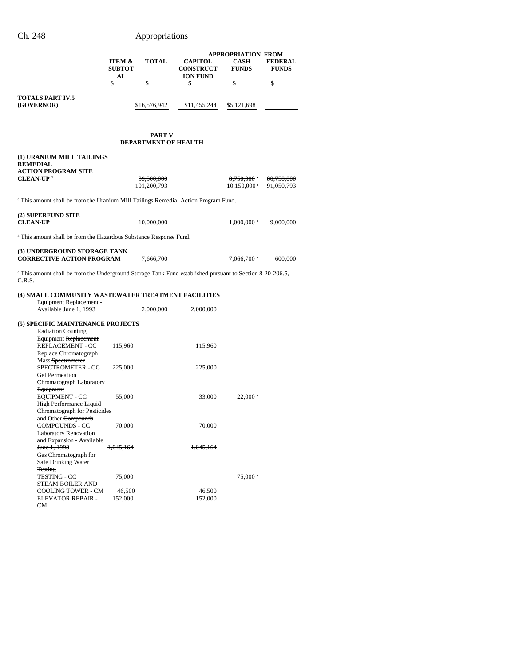| Ch. 248                 |                                          | Appropriations |                                                       |                                                          |                           |
|-------------------------|------------------------------------------|----------------|-------------------------------------------------------|----------------------------------------------------------|---------------------------|
|                         | <b>ITEM &amp;</b><br><b>SUBTOT</b><br>AL | <b>TOTAL</b>   | <b>CAPITOL</b><br><b>CONSTRUCT</b><br><b>ION FUND</b> | <b>APPROPRIATION FROM</b><br><b>CASH</b><br><b>FUNDS</b> | <b>FEDE</b><br><b>FUN</b> |
|                         | \$                                       | \$             | \$                                                    |                                                          | \$                        |
| <b>TOTAL SPART IV 5</b> |                                          |                |                                                       |                                                          |                           |

**FEDERAL FUNDS**

**TOTALS PART IV.5 (GOVERNOR)** \$16,576,942 \$11,455,244 \$5,121,698

### **PART V DEPARTMENT OF HEALTH**

| (1) URANIUM MILL TAILINGS<br><b>REMEDIAL</b><br><b>ACTION PROGRAM SITE</b>                                                     |           |             |           |                          |            |
|--------------------------------------------------------------------------------------------------------------------------------|-----------|-------------|-----------|--------------------------|------------|
| $CLEAN-UP1$                                                                                                                    |           | 89,500,000  |           | $8,750,000$ <sup>a</sup> | 80,750,000 |
|                                                                                                                                |           | 101,200,793 |           | $10,150,000^{\text{ a}}$ | 91,050,793 |
| <sup>a</sup> This amount shall be from the Uranium Mill Tailings Remedial Action Program Fund.                                 |           |             |           |                          |            |
| (2) SUPERFUND SITE<br><b>CLEAN-UP</b>                                                                                          |           | 10,000,000  |           | $1,000,000$ <sup>a</sup> | 9,000,000  |
| <sup>a</sup> This amount shall be from the Hazardous Substance Response Fund.                                                  |           |             |           |                          |            |
| (3) UNDERGROUND STORAGE TANK<br><b>CORRECTIVE ACTION PROGRAM</b>                                                               |           | 7,666,700   |           | $7,066,700$ <sup>a</sup> | 600,000    |
| <sup>a</sup> This amount shall be from the Underground Storage Tank Fund established pursuant to Section 8-20-206.5,<br>C.R.S. |           |             |           |                          |            |
| (4) SMALL COMMUNITY WASTEWATER TREATMENT FACILITIES                                                                            |           |             |           |                          |            |
| Equipment Replacement -<br>Available June 1, 1993                                                                              |           | 2,000,000   | 2,000,000 |                          |            |
| (5) SPECIFIC MAINTENANCE PROJECTS<br><b>Radiation Counting</b>                                                                 |           |             |           |                          |            |
| Equipment Replacement<br>REPLACEMENT - CC<br>Replace Chromatograph                                                             | 115,960   |             | 115,960   |                          |            |
| Mass Spectrometer<br>SPECTROMETER - CC<br>Gel Permeation                                                                       | 225,000   |             | 225,000   |                          |            |
| Chromatograph Laboratory<br>Equipment                                                                                          |           |             |           |                          |            |
| <b>EQUIPMENT - CC</b><br>High Performance Liquid                                                                               | 55,000    |             | 33,000    | $22,000$ <sup>a</sup>    |            |
| Chromatograph for Pesticides<br>and Other Compounds                                                                            |           |             |           |                          |            |
| COMPOUNDS - CC<br><b>Laboratory Renovation</b>                                                                                 | 70,000    |             | 70,000    |                          |            |
| and Expansion - Available<br><del>June 1, 1993</del>                                                                           | 1,045,164 |             | 1,045,164 |                          |            |
| Gas Chromatograph for<br>Safe Drinking Water                                                                                   |           |             |           |                          |            |
| <b>Testing</b><br>TESTING - CC                                                                                                 | 75,000    |             |           | 75,000 <sup>a</sup>      |            |
| STEAM BOILER AND<br><b>COOLING TOWER - CM</b>                                                                                  | 46,500    |             | 46,500    |                          |            |
| <b>ELEVATOR REPAIR -</b><br>CМ                                                                                                 | 152,000   |             | 152,000   |                          |            |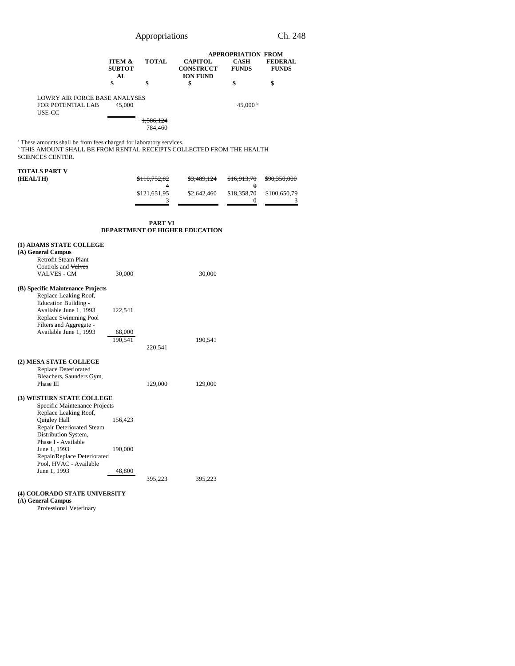| Appropriations | Ch. 248 |
|----------------|---------|
|----------------|---------|

|                                                                                                                                                                                                                                                                                                                         | ITEM &<br><b>SUBTOT</b><br>AL<br>\$    | TOTAL<br>\$                                       | <b>CAPITOL</b><br><b>CONSTRUCT</b><br><b>ION FUND</b><br>\$ | <b>APPROPRIATION FROM</b><br><b>CASH</b><br><b>FUNDS</b><br>\$ | <b>FEDERAL</b><br><b>FUNDS</b><br>\$         |
|-------------------------------------------------------------------------------------------------------------------------------------------------------------------------------------------------------------------------------------------------------------------------------------------------------------------------|----------------------------------------|---------------------------------------------------|-------------------------------------------------------------|----------------------------------------------------------------|----------------------------------------------|
| LOWRY AIR FORCE BASE ANALYSES<br>FOR POTENTIAL LAB<br>USE-CC                                                                                                                                                                                                                                                            | 45,000                                 | 1,586,124<br>784,460                              |                                                             | 45,000 $^{\rm b}$                                              |                                              |
| <sup>a</sup> These amounts shall be from fees charged for laboratory services.<br><sup>b</sup> THIS AMOUNT SHALL BE FROM RENTAL RECEIPTS COLLECTED FROM THE HEALTH<br><b>SCIENCES CENTER.</b>                                                                                                                           |                                        |                                                   |                                                             |                                                                |                                              |
| TOTALS PART V<br>(HEALTH)                                                                                                                                                                                                                                                                                               |                                        | <del>\$110,752,82</del><br>4<br>\$121,651,95<br>3 | <del>\$3,489,124</del><br>\$2,642,460                       | <del>\$16,913,70</del><br>$\theta$<br>\$18,358,70<br>0         | <del>\$90,350,000</del><br>\$100,650,79<br>3 |
|                                                                                                                                                                                                                                                                                                                         |                                        | PART VI                                           | <b>DEPARTMENT OF HIGHER EDUCATION</b>                       |                                                                |                                              |
| (1) ADAMS STATE COLLEGE<br>(A) General Campus<br>Retrofit Steam Plant<br>Controls and Valves<br><b>VALVES - CM</b><br>(B) Specific Maintenance Projects<br>Replace Leaking Roof,<br><b>Education Building -</b><br>Available June 1, 1993<br>Replace Swimming Pool<br>Filters and Aggregate -<br>Available June 1, 1993 | 30,000<br>122,541<br>68,000<br>190,541 | 220,541                                           | 30,000<br>190,541                                           |                                                                |                                              |
| (2) MESA STATE COLLEGE<br>Replace Deteriorated<br>Bleachers, Saunders Gym,<br>Phase III                                                                                                                                                                                                                                 |                                        | 129,000                                           | 129,000                                                     |                                                                |                                              |
| (3) WESTERN STATE COLLEGE<br>Specific Maintenance Projects<br>Replace Leaking Roof,<br>Quigley Hall<br>Repair Deteriorated Steam<br>Distribution System,<br>Phase I - Available<br>June 1, 1993<br>Repair/Replace Deteriorated<br>Pool, HVAC - Available<br>June 1, 1993                                                | 156,423<br>190,000<br>48,800           | 395,223                                           | 395,223                                                     |                                                                |                                              |

### **(4) COLORADO STATE UNIVERSITY**

**(A) General Campus**

Professional Veterinary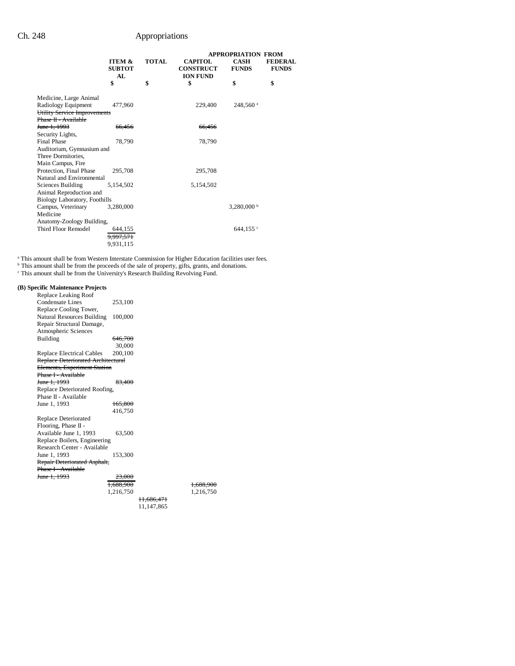|                                      |                                          |              |                                                       | <b>APPROPRIATION FROM</b>   |                                |
|--------------------------------------|------------------------------------------|--------------|-------------------------------------------------------|-----------------------------|--------------------------------|
|                                      | <b>ITEM &amp;</b><br><b>SUBTOT</b><br>AL | <b>TOTAL</b> | <b>CAPITOL</b><br><b>CONSTRUCT</b><br><b>ION FUND</b> | <b>CASH</b><br><b>FUNDS</b> | <b>FEDERAL</b><br><b>FUNDS</b> |
|                                      | \$                                       | \$           | \$                                                    | \$                          | \$                             |
| Medicine, Large Animal               |                                          |              |                                                       |                             |                                |
| Radiology Equipment                  | 477,960                                  |              | 229,400                                               | 248,560 <sup>a</sup>        |                                |
| Utility Service Improvements         |                                          |              |                                                       |                             |                                |
| Phase II - Available                 |                                          |              |                                                       |                             |                                |
| <del>June 1, 1993</del>              | 66,456                                   |              | 66,456                                                |                             |                                |
| Security Lights,                     |                                          |              |                                                       |                             |                                |
| <b>Final Phase</b>                   | 78,790                                   |              | 78,790                                                |                             |                                |
| Auditorium, Gymnasium and            |                                          |              |                                                       |                             |                                |
| Three Dormitories,                   |                                          |              |                                                       |                             |                                |
| Main Campus, Fire                    |                                          |              |                                                       |                             |                                |
| Protection, Final Phase              | 295,708                                  |              | 295.708                                               |                             |                                |
| Natural and Environmental            |                                          |              |                                                       |                             |                                |
| Sciences Building                    | 5,154,502                                |              | 5,154,502                                             |                             |                                |
| Animal Reproduction and              |                                          |              |                                                       |                             |                                |
| <b>Biology Laboratory, Foothills</b> |                                          |              |                                                       |                             |                                |
| Campus, Veterinary                   | 3,280,000                                |              |                                                       | $3,280,000$ b               |                                |
| Medicine                             |                                          |              |                                                       |                             |                                |
| Anatomy-Zoology Building,            |                                          |              |                                                       |                             |                                |
| Third Floor Remodel                  | 644,155                                  |              |                                                       | 644.155 $\degree$           |                                |
|                                      | 9,997,571                                |              |                                                       |                             |                                |
|                                      | 9,931,115                                |              |                                                       |                             |                                |

This amount shall be from Western Interstate Commission for Higher Education facilities user fees.<br><sup>b</sup> This amount shall be from the proceeds of the sale of property, gifts, grants, and donations.<br><sup>c</sup> This amount shall be

## **(B) Specific Maintenance Projects**

| Replace Leaking Roof               |           |            |           |
|------------------------------------|-----------|------------|-----------|
| Condensate Lines                   | 253,100   |            |           |
| Replace Cooling Tower,             |           |            |           |
| Natural Resources Building         | 100,000   |            |           |
| Repair Structural Damage,          |           |            |           |
| Atmospheric Sciences               |           |            |           |
| <b>Building</b>                    | 646,700   |            |           |
|                                    | 30,000    |            |           |
| Replace Electrical Cables          | 200,100   |            |           |
| Replace Deteriorated Architectural |           |            |           |
| Elements, Experiment Station       |           |            |           |
| Phase I - Available                |           |            |           |
| <del>June 1, 1993</del>            | 83.400    |            |           |
| Replace Deteriorated Roofing,      |           |            |           |
| Phase II - Available               |           |            |           |
| June 1, 1993                       | 165,800   |            |           |
|                                    | 416,750   |            |           |
| Replace Deteriorated               |           |            |           |
| Flooring, Phase II -               |           |            |           |
| Available June 1, 1993             | 63,500    |            |           |
| Replace Boilers, Engineering       |           |            |           |
| Research Center - Available        |           |            |           |
| June 1, 1993                       | 153,300   |            |           |
| Repair Deteriorated Asphalt,       |           |            |           |
| Phase I - Available                |           |            |           |
| June 1, 1993                       | 23,000    |            |           |
|                                    | 1,688,900 |            | 1,688,900 |
|                                    | 1,216,750 |            | 1,216,750 |
|                                    |           | 11,686,471 |           |
|                                    |           | 11,147,865 |           |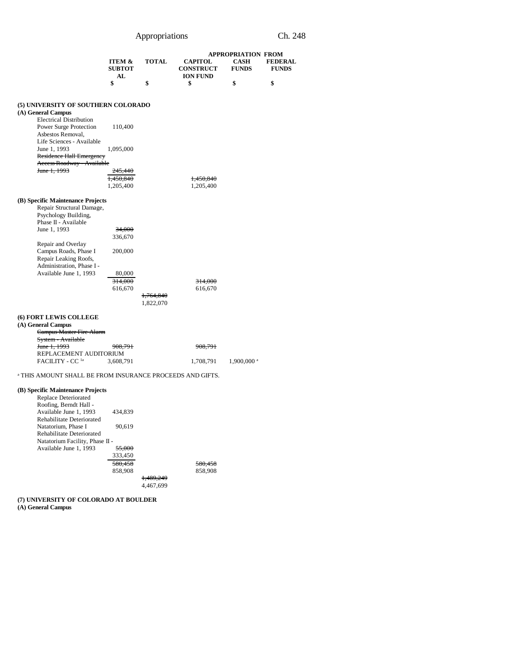|                                                                               |                                    |                        |                                    | <b>APPROPRIATION FROM</b>   |                                |
|-------------------------------------------------------------------------------|------------------------------------|------------------------|------------------------------------|-----------------------------|--------------------------------|
|                                                                               | <b>ITEM &amp;</b><br><b>SUBTOT</b> | <b>TOTAL</b>           | <b>CAPITOL</b><br><b>CONSTRUCT</b> | <b>CASH</b><br><b>FUNDS</b> | <b>FEDERAL</b><br><b>FUNDS</b> |
|                                                                               | AL<br>\$                           | \$                     | <b>ION FUND</b><br>\$              | \$                          | \$                             |
|                                                                               |                                    |                        |                                    |                             |                                |
| (5) UNIVERSITY OF SOUTHERN COLORADO<br>(A) General Campus                     |                                    |                        |                                    |                             |                                |
| <b>Electrical Distribution</b><br>Power Surge Protection<br>Asbestos Removal, | 110,400                            |                        |                                    |                             |                                |
| Life Sciences - Available<br>June 1, 1993<br>Residence Hall Emergency         | 1,095,000                          |                        |                                    |                             |                                |
| Access Roadway - Available<br>June 1, 1993                                    | <del>245,440</del>                 |                        |                                    |                             |                                |
|                                                                               | <del>1,450,840</del><br>1,205,400  |                        | 1,450,840<br>1,205,400             |                             |                                |
| (B) Specific Maintenance Projects                                             |                                    |                        |                                    |                             |                                |
| Repair Structural Damage,<br>Psychology Building,                             |                                    |                        |                                    |                             |                                |
| Phase II - Available<br>June 1, 1993                                          | 34,000                             |                        |                                    |                             |                                |
|                                                                               | 336,670                            |                        |                                    |                             |                                |
| Repair and Overlay<br>Campus Roads, Phase I                                   | 200,000                            |                        |                                    |                             |                                |
| Repair Leaking Roofs,<br>Administration, Phase I -                            |                                    |                        |                                    |                             |                                |
| Available June 1, 1993                                                        | 80,000                             |                        |                                    |                             |                                |
|                                                                               | <del>314,000</del><br>616,670      |                        | <del>314,000</del><br>616,670      |                             |                                |
|                                                                               |                                    | 1,764,840<br>1,822,070 |                                    |                             |                                |
| (6) FORT LEWIS COLLEGE                                                        |                                    |                        |                                    |                             |                                |
| (A) General Campus<br>Campus Master Fire Alarm                                |                                    |                        |                                    |                             |                                |
| System - Available                                                            |                                    |                        |                                    |                             |                                |
| <del>June 1, 1993</del><br>REPLACEMENT AUDITORIUM                             | 908,791                            |                        | <del>908,791</del>                 |                             |                                |
| FACILITY - CC la                                                              | 3,608,791                          |                        | 1,708,791                          | $1,900,000$ <sup>a</sup>    |                                |
| <sup>a</sup> THIS AMOUNT SHALL BE FROM INSURANCE PROCEEDS AND GIFTS.          |                                    |                        |                                    |                             |                                |
| (B) Specific Maintenance Projects                                             |                                    |                        |                                    |                             |                                |
| Replace Deteriorated<br>Roofing, Berndt Hall -                                |                                    |                        |                                    |                             |                                |
| Available June 1, 1993                                                        | 434,839                            |                        |                                    |                             |                                |
| Rehabilitate Deteriorated<br>Natatorium, Phase I                              | 90,619                             |                        |                                    |                             |                                |
| Rehabilitate Deteriorated<br>Natatorium Facility, Phase II -                  |                                    |                        |                                    |                             |                                |
| Available June 1, 1993                                                        | 55,000                             |                        |                                    |                             |                                |
|                                                                               | 333,450<br><del>580,458</del>      |                        | <del>580,458</del>                 |                             |                                |
|                                                                               | 858,908                            |                        | 858,908                            |                             |                                |
|                                                                               |                                    | 1,489,249<br>4,467,699 |                                    |                             |                                |
|                                                                               |                                    |                        |                                    |                             |                                |

**(7) UNIVERSITY OF COLORADO AT BOULDER (A) General Campus**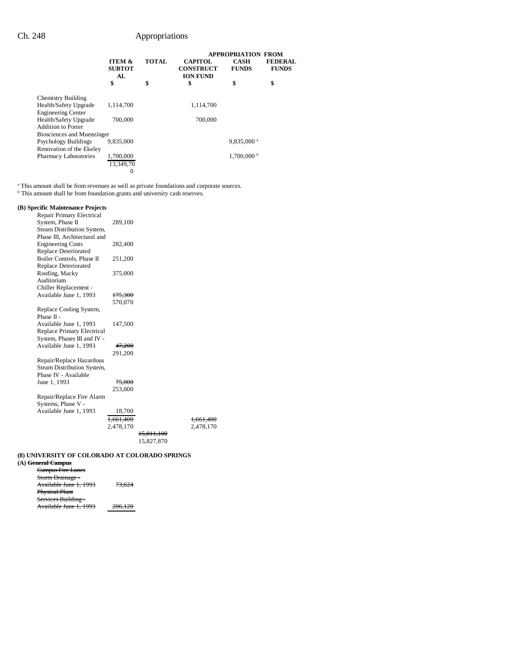|                              |                                          | <b>APPROPRIATION FROM</b> |                                                       |                             |                                |
|------------------------------|------------------------------------------|---------------------------|-------------------------------------------------------|-----------------------------|--------------------------------|
|                              | <b>ITEM &amp;</b><br><b>SUBTOT</b><br>AL | <b>TOTAL</b>              | <b>CAPITOL</b><br><b>CONSTRUCT</b><br><b>ION FUND</b> | <b>CASH</b><br><b>FUNDS</b> | <b>FEDERAL</b><br><b>FUNDS</b> |
|                              | \$                                       | \$                        | \$                                                    | \$                          | \$                             |
| <b>Chemistry Building</b>    |                                          |                           |                                                       |                             |                                |
| Health/Safety Upgrade        | 1,114,700                                |                           | 1,114,700                                             |                             |                                |
| <b>Engineering Center</b>    |                                          |                           |                                                       |                             |                                |
| Health/Safety Upgrade        | 700,000                                  |                           | 700,000                                               |                             |                                |
| <b>Addition to Porter</b>    |                                          |                           |                                                       |                             |                                |
| Biosciences and Muenzinger   |                                          |                           |                                                       |                             |                                |
| <b>Psychology Buildings</b>  | 9.835,000                                |                           |                                                       | $9,835,000$ <sup>a</sup>    |                                |
| Renovation of the Ekeley     |                                          |                           |                                                       |                             |                                |
| <b>Pharmacy Laboratories</b> | 1,700,000                                |                           |                                                       | $1,700,000$ b               |                                |
|                              | 13.349.70                                |                           |                                                       |                             |                                |
|                              | 0                                        |                           |                                                       |                             |                                |

<sup>a</sup> This amount shall be from revenues as well as private foundations and corporate sources.<br><sup>b</sup> This amount shall be from foundation grants and university cash reserves.

### **(B) Specific Maintenance Projects**

| Repair Primary Electrical    |                    |                       |           |
|------------------------------|--------------------|-----------------------|-----------|
| System, Phase II             | 289,100            |                       |           |
| Steam Distribution System,   |                    |                       |           |
| Phase III. Architectural and |                    |                       |           |
| <b>Engineering Costs</b>     | 282,400            |                       |           |
| Replace Deteriorated         |                    |                       |           |
| Boiler Controls, Phase II    | 251,200            |                       |           |
| Replace Deteriorated         |                    |                       |           |
| Roofing, Macky               | 375,000            |                       |           |
| Auditorium                   |                    |                       |           |
| Chiller Replacement -        |                    |                       |           |
| Available June 1, 1993       | <del>175,300</del> |                       |           |
|                              | 570,070            |                       |           |
| Replace Cooling System,      |                    |                       |           |
| Phase II -                   |                    |                       |           |
| Available June 1, 1993       | 147,500            |                       |           |
| Replace Primary Electrical   |                    |                       |           |
| System, Phases III and IV -  |                    |                       |           |
| Available June 1, 1993       | 47,200             |                       |           |
|                              | 291,200            |                       |           |
| Repair/Replace Hazardous     |                    |                       |           |
| Steam Distribution System,   |                    |                       |           |
| Phase IV - Available         |                    |                       |           |
| June 1, 1993                 | 75,000             |                       |           |
|                              | 253,000            |                       |           |
| Repair/Replace Fire Alarm    |                    |                       |           |
| Systems, Phase V -           |                    |                       |           |
| Available June 1, 1993       | 18,700             |                       |           |
|                              | 1.661.400          |                       | 1,661,400 |
|                              | 2,478,170          |                       | 2,478,170 |
|                              |                    | <del>15,011,100</del> |           |
|                              |                    | 15,827,870            |           |

### **(8) UNIVERSITY OF COLORADO AT COLORADO SPRINGS**

| (A) <del>General Campus</del> |                    |  |
|-------------------------------|--------------------|--|
| Campus Fire Lanes             |                    |  |
| Storm Drainage -              |                    |  |
| Available June 1, 1993        | 73,624             |  |
| <b>Physical Plant</b>         |                    |  |
| Services Building -           |                    |  |
| Available June 1, 1993        | <del>206.120</del> |  |
|                               |                    |  |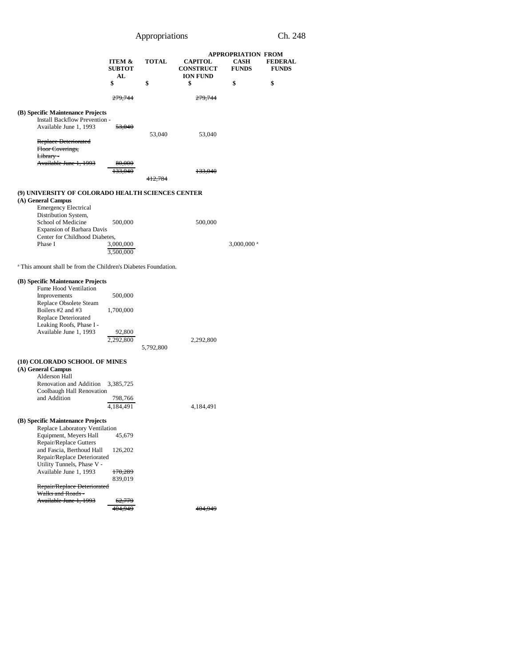|                                                                                                                                                                                                                                                                                      | ITEM &<br><b>SUBTOT</b><br>AL<br>\$                          | <b>TOTAL</b><br>\$ | <b>CAPITOL</b><br><b>CONSTRUCT</b><br><b>ION FUND</b><br>\$ | <b>APPROPRIATION FROM</b><br><b>CASH</b><br><b>FUNDS</b><br>\$ | <b>FEDERAL</b><br><b>FUNDS</b><br>\$ |
|--------------------------------------------------------------------------------------------------------------------------------------------------------------------------------------------------------------------------------------------------------------------------------------|--------------------------------------------------------------|--------------------|-------------------------------------------------------------|----------------------------------------------------------------|--------------------------------------|
|                                                                                                                                                                                                                                                                                      | 279.744                                                      |                    |                                                             |                                                                |                                      |
| (B) Specific Maintenance Projects<br>Install Backflow Prevention -<br>Available June 1, 1993<br>Replace Deteriorated<br>Floor Coverings,                                                                                                                                             | <del>53,040</del>                                            | 53,040             | 53,040                                                      |                                                                |                                      |
| Library-<br>Available June 1, 1993                                                                                                                                                                                                                                                   | 80,000<br>133,040                                            |                    | 133,040                                                     |                                                                |                                      |
| (9) UNIVERSITY OF COLORADO HEALTH SCIENCES CENTER                                                                                                                                                                                                                                    |                                                              |                    |                                                             |                                                                |                                      |
| (A) General Campus<br><b>Emergency Electrical</b><br>Distribution System,<br>School of Medicine<br>Expansion of Barbara Davis<br>Center for Childhood Diabetes,<br>Phase I                                                                                                           | 500,000<br>3,000,000<br>3,500,000                            |                    | 500,000                                                     | 3,000,000 <sup>a</sup>                                         |                                      |
| <sup>a</sup> This amount shall be from the Children's Diabetes Foundation.                                                                                                                                                                                                           |                                                              |                    |                                                             |                                                                |                                      |
| (B) Specific Maintenance Projects<br>Fume Hood Ventilation<br>Improvements<br>Replace Obsolete Steam<br>Boilers #2 and #3<br>Replace Deteriorated<br>Leaking Roofs, Phase I -<br>Available June 1, 1993                                                                              | 500,000<br>1,700,000<br>92,800<br>2.292.800                  | 5,792,800          | 2,292,800                                                   |                                                                |                                      |
| (10) COLORADO SCHOOL OF MINES<br>(A) General Campus<br>Alderson Hall<br>Renovation and Addition<br>Coolbaugh Hall Renovation<br>and Addition<br>(B) Specific Maintenance Projects                                                                                                    | 3,385,725<br>798.766<br>4,184,491                            |                    | 4,184,491                                                   |                                                                |                                      |
| Replace Laboratory Ventilation<br>Equipment, Meyers Hall<br>Repair/Replace Gutters<br>and Fascia, Berthoud Hall<br>Repair/Replace Deteriorated<br>Utility Tunnels, Phase V -<br>Available June 1, 1993<br>Repair/Replace Deteriorated<br>Walks and Roads -<br>Available June 1, 1993 | 45,679<br>126,202<br>170,289<br>839,019<br>62,779<br>404.949 |                    | 404,949                                                     |                                                                |                                      |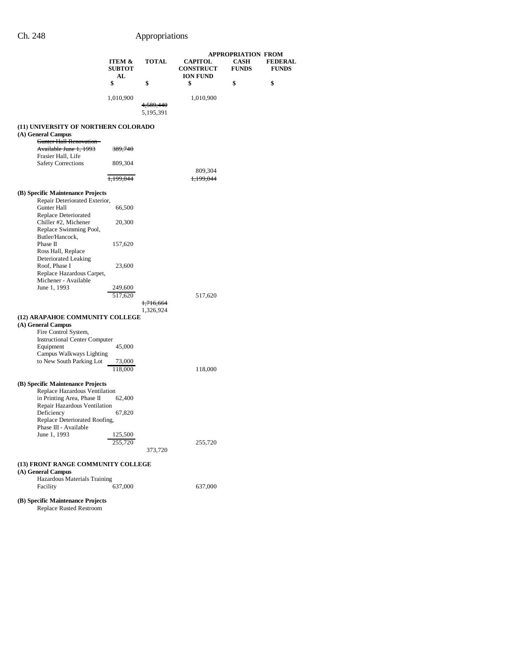|                                                                                                                                                                                                          |                                          |                                   |                                                       | <b>APPROPRIATION FROM</b>   |                                |
|----------------------------------------------------------------------------------------------------------------------------------------------------------------------------------------------------------|------------------------------------------|-----------------------------------|-------------------------------------------------------|-----------------------------|--------------------------------|
|                                                                                                                                                                                                          | <b>ITEM &amp;</b><br><b>SUBTOT</b><br>AL | <b>TOTAL</b>                      | <b>CAPITOL</b><br><b>CONSTRUCT</b><br><b>ION FUND</b> | <b>CASH</b><br><b>FUNDS</b> | <b>FEDERAL</b><br><b>FUNDS</b> |
|                                                                                                                                                                                                          | \$                                       | \$                                | \$                                                    | \$                          | \$                             |
|                                                                                                                                                                                                          | 1,010,900                                | <del>4,589,440</del><br>5,195,391 | 1,010,900                                             |                             |                                |
| (11) UNIVERSITY OF NORTHERN COLORADO<br>(A) General Campus                                                                                                                                               |                                          |                                   |                                                       |                             |                                |
| Gunter Hall Renovation -<br>Available June 1, 1993<br>Frasier Hall, Life                                                                                                                                 | 389,740                                  |                                   |                                                       |                             |                                |
| <b>Safety Corrections</b>                                                                                                                                                                                | 809,304                                  |                                   |                                                       |                             |                                |
|                                                                                                                                                                                                          | 1,199,044                                |                                   | 809,304<br>1,199,044                                  |                             |                                |
| (B) Specific Maintenance Projects<br>Repair Deteriorated Exterior,                                                                                                                                       |                                          |                                   |                                                       |                             |                                |
| Gunter Hall<br>Replace Deteriorated                                                                                                                                                                      | 66,500                                   |                                   |                                                       |                             |                                |
| Chiller #2, Michener<br>Replace Swimming Pool,<br>Butler/Hancock.                                                                                                                                        | 20,300                                   |                                   |                                                       |                             |                                |
| Phase II<br>Ross Hall, Replace<br>Deteriorated Leaking                                                                                                                                                   | 157,620                                  |                                   |                                                       |                             |                                |
| Roof, Phase I<br>Replace Hazardous Carpet,<br>Michener - Available                                                                                                                                       | 23,600                                   |                                   |                                                       |                             |                                |
| June 1, 1993                                                                                                                                                                                             | 249,600<br>517,620                       | 1,716,664                         | 517,620                                               |                             |                                |
| (12) ARAPAHOE COMMUNITY COLLEGE                                                                                                                                                                          |                                          | 1,326,924                         |                                                       |                             |                                |
| (A) General Campus<br>Fire Control System,<br><b>Instructional Center Computer</b>                                                                                                                       |                                          |                                   |                                                       |                             |                                |
| Equipment<br>Campus Walkways Lighting<br>to New South Parking Lot                                                                                                                                        | 45,000<br>73,000                         |                                   |                                                       |                             |                                |
|                                                                                                                                                                                                          | 118,000                                  |                                   | 118,000                                               |                             |                                |
| (B) Specific Maintenance Projects<br>Replace Hazardous Ventilation<br>in Printing Area, Phase II<br>Repair Hazardous Ventilation<br>Deficiency<br>Replace Deteriorated Roofing,<br>Phase III - Available | 62,400<br>67,820                         |                                   |                                                       |                             |                                |
| June 1, 1993                                                                                                                                                                                             | 125,500<br>255,720                       | 373,720                           | 255,720                                               |                             |                                |
| (13) FRONT RANGE COMMUNITY COLLEGE<br>(A) General Campus<br>Hazardous Materials Training<br>Facility                                                                                                     | 637,000                                  |                                   | 637,000                                               |                             |                                |
| (B) Specific Maintenance Projects<br>Replace Rusted Restroom                                                                                                                                             |                                          |                                   |                                                       |                             |                                |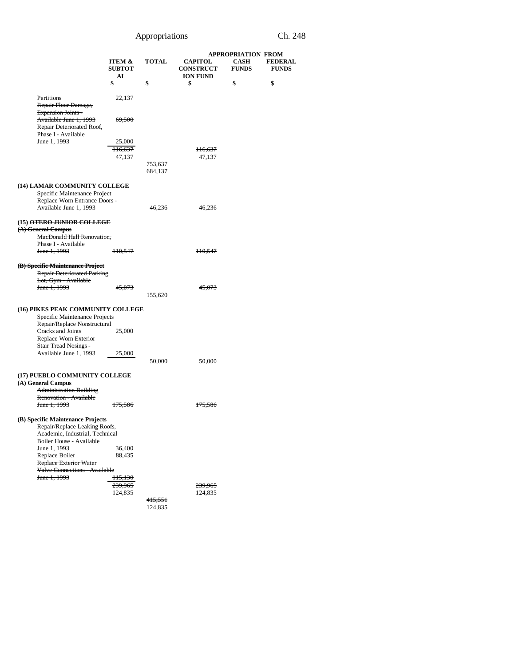|                                                                                                                 |                                          |                               | <b>APPROPRIATION FROM</b>                             |                             |                                |
|-----------------------------------------------------------------------------------------------------------------|------------------------------------------|-------------------------------|-------------------------------------------------------|-----------------------------|--------------------------------|
|                                                                                                                 | ITEM &<br><b>SUBTOT</b><br>AL            | <b>TOTAL</b>                  | <b>CAPITOL</b><br><b>CONSTRUCT</b><br><b>ION FUND</b> | <b>CASH</b><br><b>FUNDS</b> | <b>FEDERAL</b><br><b>FUNDS</b> |
|                                                                                                                 | \$                                       | \$                            | \$                                                    | \$                          | \$                             |
| Partitions<br>Repair Floor Damage,<br><b>Expansion Joints -</b>                                                 | 22,137                                   |                               |                                                       |                             |                                |
| Available June 1, 1993<br>Repair Deteriorated Roof,<br>Phase I - Available                                      | 69,500                                   |                               |                                                       |                             |                                |
| June 1, 1993                                                                                                    | 25,000                                   |                               |                                                       |                             |                                |
|                                                                                                                 | 116,637<br>47,137                        |                               | <del>116,637</del><br>47,137                          |                             |                                |
|                                                                                                                 |                                          | <del>753,637</del><br>684,137 |                                                       |                             |                                |
| (14) LAMAR COMMUNITY COLLEGE                                                                                    |                                          |                               |                                                       |                             |                                |
| Specific Maintenance Project<br>Replace Worn Entrance Doors -<br>Available June 1, 1993                         |                                          | 46,236                        | 46,236                                                |                             |                                |
|                                                                                                                 |                                          |                               |                                                       |                             |                                |
| (15) <del>OTERO JUNIOR COLLEGE</del><br>(A) General Campus<br>MacDonald Hall Renovation,<br>Phase I - Available |                                          |                               |                                                       |                             |                                |
| June 1, 1993                                                                                                    | 110,547                                  |                               | <del>110,547</del>                                    |                             |                                |
| (B) Specific Maintenance Project                                                                                |                                          |                               |                                                       |                             |                                |
| <b>Repair Deteriorated Parking</b>                                                                              |                                          |                               |                                                       |                             |                                |
| Lot, Gym - Available                                                                                            |                                          |                               |                                                       |                             |                                |
| June 1, 1993                                                                                                    | 4 <del>5,073</del>                       | 155,620                       | 45,073                                                |                             |                                |
| (16) PIKES PEAK COMMUNITY COLLEGE                                                                               |                                          |                               |                                                       |                             |                                |
| Specific Maintenance Projects                                                                                   |                                          |                               |                                                       |                             |                                |
| Repair/Replace Nonstructural                                                                                    |                                          |                               |                                                       |                             |                                |
| Cracks and Joints                                                                                               | 25,000                                   |                               |                                                       |                             |                                |
| Replace Worn Exterior<br>Stair Tread Nosings -                                                                  |                                          |                               |                                                       |                             |                                |
| Available June 1, 1993                                                                                          | 25,000                                   |                               |                                                       |                             |                                |
|                                                                                                                 |                                          | 50,000                        | 50,000                                                |                             |                                |
| (17) PUEBLO COMMUNITY COLLEGE<br>(A) General Campus<br><b>Administration Building</b>                           |                                          |                               |                                                       |                             |                                |
| Renovation - Available                                                                                          |                                          |                               |                                                       |                             |                                |
| June 1, 1993                                                                                                    | 175,586                                  |                               | <del>175,586</del>                                    |                             |                                |
| (B) Specific Maintenance Projects                                                                               |                                          |                               |                                                       |                             |                                |
| Repair/Replace Leaking Roofs,                                                                                   |                                          |                               |                                                       |                             |                                |
| Academic, Industrial, Technical                                                                                 |                                          |                               |                                                       |                             |                                |
| Boiler House - Available<br>June 1, 1993                                                                        | 36,400                                   |                               |                                                       |                             |                                |
| Replace Boiler                                                                                                  | 88,435                                   |                               |                                                       |                             |                                |
| Replace Exterior Water                                                                                          |                                          |                               |                                                       |                             |                                |
| Valve Connections - Available<br>June 1, 1993                                                                   |                                          |                               |                                                       |                             |                                |
|                                                                                                                 | <del>115,130</del><br><del>239,965</del> |                               | 239,965                                               |                             |                                |
|                                                                                                                 | 124,835                                  |                               | 124,835                                               |                             |                                |
|                                                                                                                 |                                          | 415,551                       |                                                       |                             |                                |
|                                                                                                                 |                                          | 124,835                       |                                                       |                             |                                |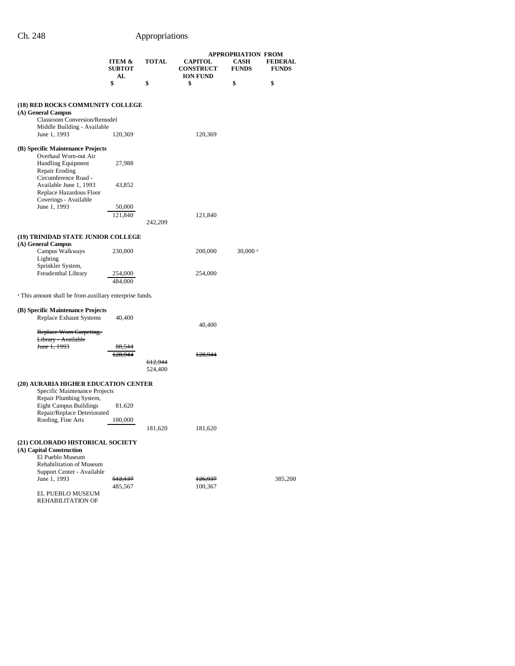|                                                                                         |                         |                    |                                    | <b>APPROPRIATION FROM</b>   |                                |
|-----------------------------------------------------------------------------------------|-------------------------|--------------------|------------------------------------|-----------------------------|--------------------------------|
|                                                                                         | ITEM &<br><b>SUBTOT</b> | TOTAL              | <b>CAPITOL</b><br><b>CONSTRUCT</b> | <b>CASH</b><br><b>FUNDS</b> | <b>FEDERAL</b><br><b>FUNDS</b> |
|                                                                                         | AL<br>\$                | \$                 | <b>ION FUND</b><br>\$              | \$                          | \$                             |
| (18) RED ROCKS COMMUNITY COLLEGE                                                        |                         |                    |                                    |                             |                                |
| (A) General Campus                                                                      |                         |                    |                                    |                             |                                |
| Classroom Conversion/Remodel<br>Middle Building - Available                             |                         |                    |                                    |                             |                                |
| June 1, 1993                                                                            | 120,369                 |                    | 120,369                            |                             |                                |
| (B) Specific Maintenance Projects                                                       |                         |                    |                                    |                             |                                |
| Overhaul Worn-out Air<br><b>Handling Equipment</b><br>Repair Eroding                    | 27,988                  |                    |                                    |                             |                                |
| Circumference Road -<br>Available June 1, 1993                                          | 43,852                  |                    |                                    |                             |                                |
| Replace Hazardous Floor<br>Coverings - Available                                        |                         |                    |                                    |                             |                                |
| June 1, 1993                                                                            | 50,000                  |                    |                                    |                             |                                |
|                                                                                         | 121,840                 |                    | 121,840                            |                             |                                |
|                                                                                         |                         | 242,209            |                                    |                             |                                |
| (19) TRINIDAD STATE JUNIOR COLLEGE                                                      |                         |                    |                                    |                             |                                |
| (A) General Campus                                                                      |                         |                    |                                    |                             |                                |
| Campus Walkways                                                                         | 230,000                 |                    | 200,000                            | $30,000$ <sup>a</sup>       |                                |
| Lighting                                                                                |                         |                    |                                    |                             |                                |
| Sprinkler System,<br>Freudenthal Library                                                | 254,000                 |                    | 254,000                            |                             |                                |
|                                                                                         | 484,000                 |                    |                                    |                             |                                |
|                                                                                         |                         |                    |                                    |                             |                                |
| <sup>a</sup> This amount shall be from auxiliary enterprise funds.                      |                         |                    |                                    |                             |                                |
| (B) Specific Maintenance Projects                                                       |                         |                    |                                    |                             |                                |
| Replace Exhaust Systems                                                                 | 40,400                  |                    |                                    |                             |                                |
|                                                                                         |                         |                    | 40,400                             |                             |                                |
| Replace Worn Carpeting,<br>Library - Available                                          |                         |                    |                                    |                             |                                |
| <del>June 1, 1993</del>                                                                 |                         |                    |                                    |                             |                                |
|                                                                                         |                         |                    | 128.944                            |                             |                                |
|                                                                                         |                         | 612,944<br>524,400 |                                    |                             |                                |
|                                                                                         |                         |                    |                                    |                             |                                |
| (20) AURARIA HIGHER EDUCATION CENTER                                                    |                         |                    |                                    |                             |                                |
| Specific Maintenance Projects                                                           |                         |                    |                                    |                             |                                |
| Repair Plumbing System,<br><b>Eight Campus Buildings</b><br>Repair/Replace Deteriorated | 81,620                  |                    |                                    |                             |                                |
| Roofing, Fine Arts                                                                      | 100,000                 |                    |                                    |                             |                                |
|                                                                                         |                         | 181,620            | 181,620                            |                             |                                |
| (21) COLORADO HISTORICAL SOCIETY                                                        |                         |                    |                                    |                             |                                |
| (A) Capital Construction                                                                |                         |                    |                                    |                             |                                |
| El Pueblo Museum                                                                        |                         |                    |                                    |                             |                                |
| Rehabilitation of Museum                                                                |                         |                    |                                    |                             |                                |
| Support Center - Available                                                              |                         |                    |                                    |                             |                                |
| June 1, 1993                                                                            | 512,137<br>485,567      |                    | <del>126,937</del><br>100,367      |                             | 385,200                        |
| EL PUEBLO MUSEUM                                                                        |                         |                    |                                    |                             |                                |
| REHABILITATION OF                                                                       |                         |                    |                                    |                             |                                |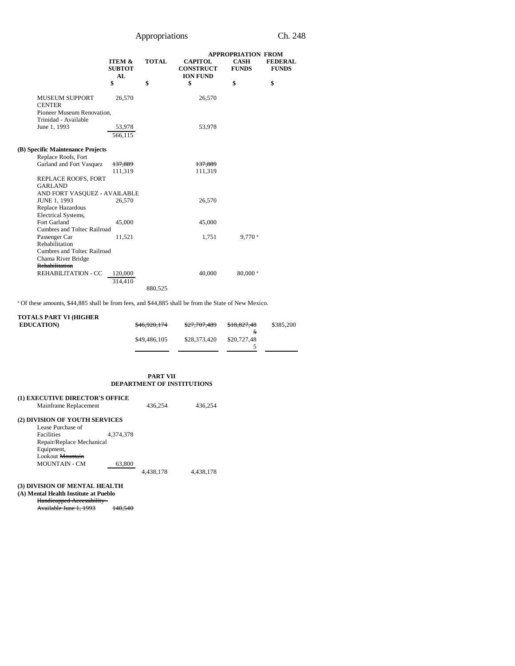|                                                                      |                                          |              |                                                       |                             | <b>APPROPRIATION FROM</b>      |  |
|----------------------------------------------------------------------|------------------------------------------|--------------|-------------------------------------------------------|-----------------------------|--------------------------------|--|
|                                                                      | <b>ITEM &amp;</b><br><b>SUBTOT</b><br>AL | <b>TOTAL</b> | <b>CAPITOL</b><br><b>CONSTRUCT</b><br><b>ION FUND</b> | <b>CASH</b><br><b>FUNDS</b> | <b>FEDERAL</b><br><b>FUNDS</b> |  |
|                                                                      | \$                                       | \$           | \$                                                    | \$                          | \$                             |  |
| <b>MUSEUM SUPPORT</b><br><b>CENTER</b><br>Pioneer Museum Renovation, | 26,570                                   |              | 26,570                                                |                             |                                |  |
| Trinidad - Available<br>June 1, 1993                                 | 53,978<br>566,115                        |              | 53,978                                                |                             |                                |  |
| (B) Specific Maintenance Projects                                    |                                          |              |                                                       |                             |                                |  |
| Replace Roofs, Fort                                                  |                                          |              |                                                       |                             |                                |  |
| Garland and Fort Vasquez                                             | 137,889                                  |              | 137,889                                               |                             |                                |  |
|                                                                      | 111,319                                  |              | 111,319                                               |                             |                                |  |
| REPLACE ROOFS, FORT                                                  |                                          |              |                                                       |                             |                                |  |
| <b>GARLAND</b>                                                       |                                          |              |                                                       |                             |                                |  |
| AND FORT VASQUEZ - AVAILABLE                                         |                                          |              |                                                       |                             |                                |  |
| <b>JUNE 1, 1993</b>                                                  | 26,570                                   |              | 26,570                                                |                             |                                |  |
| Replace Hazardous                                                    |                                          |              |                                                       |                             |                                |  |
| Electrical Systems,                                                  |                                          |              |                                                       |                             |                                |  |
| Fort Garland                                                         | 45,000                                   |              | 45,000                                                |                             |                                |  |
| Cumbres and Toltec Railroad                                          |                                          |              |                                                       |                             |                                |  |
| Passenger Car                                                        | 11,521                                   |              | 1,751                                                 | $9.770$ <sup>a</sup>        |                                |  |
| Rehabilitation                                                       |                                          |              |                                                       |                             |                                |  |
| Cumbres and Toltec Railroad                                          |                                          |              |                                                       |                             |                                |  |
| Chama River Bridge                                                   |                                          |              |                                                       |                             |                                |  |
| Rehabilitation                                                       |                                          |              |                                                       |                             |                                |  |
| REHABILITATION - CC                                                  | 120,000                                  |              | 40,000                                                | 80,000 <sup>a</sup>         |                                |  |
|                                                                      | 314,410                                  |              |                                                       |                             |                                |  |
|                                                                      |                                          | 880,525      |                                                       |                             |                                |  |

a Of these amounts, \$44,885 shall be from fees, and \$44,885 shall be from the State of New Mexico.

| <b>TOTALS PART VI (HIGHER)</b> |              |              |             |           |
|--------------------------------|--------------|--------------|-------------|-----------|
| <b>EDUCATION</b>               | \$46,920,174 | \$27,707,489 | \$18,827,48 | \$385,200 |
|                                |              |              |             |           |
|                                | \$49,486,105 | \$28,373,420 | \$20,727.48 |           |
|                                |              |              |             |           |

### **PART VII DEPARTMENT OF INSTITUTIONS**

| (1) EXECUTIVE DIRECTOR'S OFFICE                        |           |           |           |
|--------------------------------------------------------|-----------|-----------|-----------|
| Mainframe Replacement                                  |           | 436.254   | 436.254   |
| (2) DIVISION OF YOUTH SERVICES<br>Lease Purchase of    |           |           |           |
| <b>Facilities</b><br>Repair/Replace Mechanical         | 4.374.378 |           |           |
| Equipment,<br>Lookout Mountain<br><b>MOUNTAIN - CM</b> | 63,800    |           |           |
|                                                        |           | 4.438.178 | 4,438,178 |

## **(3) DIVISION OF MENTAL HEALTH**

**(A) Mental Health Institute at Pueblo** Handicapped Accessibility - Available June 1, 1993 140,540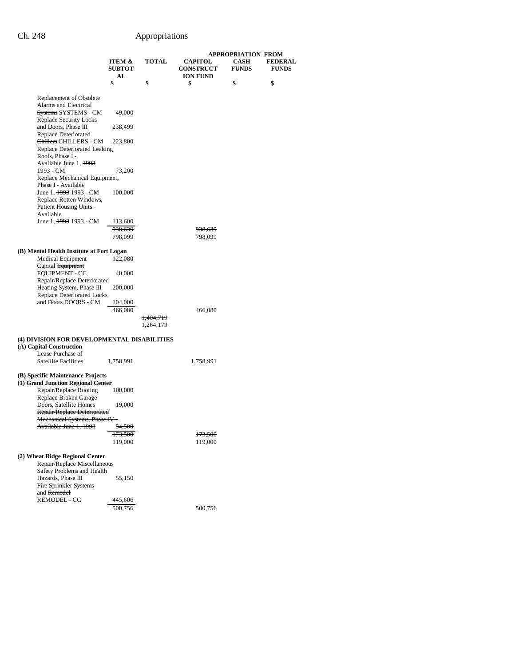|                                                                            |                               |                      | <b>APPROPRIATION FROM</b>                             |                             |                                |  |
|----------------------------------------------------------------------------|-------------------------------|----------------------|-------------------------------------------------------|-----------------------------|--------------------------------|--|
|                                                                            | ITEM &<br><b>SUBTOT</b><br>AL | <b>TOTAL</b>         | <b>CAPITOL</b><br><b>CONSTRUCT</b><br><b>ION FUND</b> | <b>CASH</b><br><b>FUNDS</b> | <b>FEDERAL</b><br><b>FUNDS</b> |  |
|                                                                            | \$                            | \$                   | \$                                                    | \$                          | \$                             |  |
| Replacement of Obsolete                                                    |                               |                      |                                                       |                             |                                |  |
| Alarms and Electrical                                                      |                               |                      |                                                       |                             |                                |  |
| <del>Systems</del> SYSTEMS - CM<br>Replace Security Locks                  | 49,000                        |                      |                                                       |                             |                                |  |
| and Doors, Phase III                                                       | 238,499                       |                      |                                                       |                             |                                |  |
| Replace Deteriorated<br><del>Chillers</del> CHILLERS - CM                  | 223,800                       |                      |                                                       |                             |                                |  |
| Replace Deteriorated Leaking                                               |                               |                      |                                                       |                             |                                |  |
| Roofs, Phase I -<br>Available June 1, 1993                                 |                               |                      |                                                       |                             |                                |  |
| 1993 - CM                                                                  | 73,200                        |                      |                                                       |                             |                                |  |
| Replace Mechanical Equipment,<br>Phase I - Available                       |                               |                      |                                                       |                             |                                |  |
| June 1, <del>1993</del> 1993 - CM                                          | 100,000                       |                      |                                                       |                             |                                |  |
| Replace Rotten Windows,<br>Patient Housing Units -                         |                               |                      |                                                       |                             |                                |  |
| Available                                                                  |                               |                      |                                                       |                             |                                |  |
| June 1, <del>1993</del> 1993 - CM                                          | 113,600                       |                      |                                                       |                             |                                |  |
|                                                                            | 938,639<br>798,099            |                      | <del>938,639</del><br>798,099                         |                             |                                |  |
|                                                                            |                               |                      |                                                       |                             |                                |  |
| (B) Mental Health Institute at Fort Logan<br><b>Medical Equipment</b>      | 122,080                       |                      |                                                       |                             |                                |  |
| Capital Equipment                                                          |                               |                      |                                                       |                             |                                |  |
| <b>EQUIPMENT - CC</b>                                                      | 40,000                        |                      |                                                       |                             |                                |  |
| Repair/Replace Deteriorated<br>Heating System, Phase III                   | 200,000                       |                      |                                                       |                             |                                |  |
| <b>Replace Deteriorated Locks</b>                                          |                               |                      |                                                       |                             |                                |  |
| and <del>Doors</del> DOORS - CM                                            | 104,000<br>466,080            |                      | 466,080                                               |                             |                                |  |
|                                                                            |                               | <del>1,404,719</del> |                                                       |                             |                                |  |
|                                                                            |                               | 1,264,179            |                                                       |                             |                                |  |
| (4) DIVISION FOR DEVELOPMENTAL DISABILITIES                                |                               |                      |                                                       |                             |                                |  |
| (A) Capital Construction<br>Lease Purchase of                              |                               |                      |                                                       |                             |                                |  |
| <b>Satellite Facilities</b>                                                | 1,758,991                     |                      | 1,758,991                                             |                             |                                |  |
| (B) Specific Maintenance Projects                                          |                               |                      |                                                       |                             |                                |  |
| (1) Grand Junction Regional Center                                         |                               |                      |                                                       |                             |                                |  |
| Repair/Replace Roofing<br>Replace Broken Garage                            | 100,000                       |                      |                                                       |                             |                                |  |
| Doors, Satellite Homes                                                     | 19,000                        |                      |                                                       |                             |                                |  |
| Repair/Replace Deteriorated                                                |                               |                      |                                                       |                             |                                |  |
| <b>Mechanical Systems, Phase IV -</b><br><del>Available June 1, 1993</del> | 54.500                        |                      |                                                       |                             |                                |  |
|                                                                            | <del>173,500</del>            |                      | 173,500                                               |                             |                                |  |
|                                                                            | 119,000                       |                      | 119,000                                               |                             |                                |  |
| (2) Wheat Ridge Regional Center                                            |                               |                      |                                                       |                             |                                |  |
| Repair/Replace Miscellaneous                                               |                               |                      |                                                       |                             |                                |  |
| Safety Problems and Health<br>Hazards, Phase III                           | 55,150                        |                      |                                                       |                             |                                |  |
| Fire Sprinkler Systems                                                     |                               |                      |                                                       |                             |                                |  |
| and Remodel<br>REMODEL - CC                                                | 445,606                       |                      |                                                       |                             |                                |  |
|                                                                            | 500,756                       |                      | 500,756                                               |                             |                                |  |
|                                                                            |                               |                      |                                                       |                             |                                |  |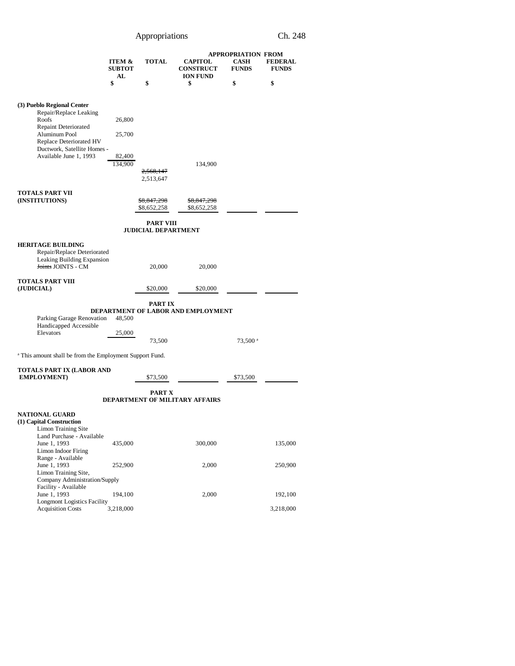|                                                                     |                               |                            |                                                       | <b>APPROPRIATION FROM</b> |                                |  |
|---------------------------------------------------------------------|-------------------------------|----------------------------|-------------------------------------------------------|---------------------------|--------------------------------|--|
|                                                                     | ITEM &<br><b>SUBTOT</b><br>AL | <b>TOTAL</b>               | <b>CAPITOL</b><br><b>CONSTRUCT</b><br><b>ION FUND</b> | CASH<br><b>FUNDS</b>      | <b>FEDERAL</b><br><b>FUNDS</b> |  |
|                                                                     | \$                            | \$                         | \$                                                    | \$                        | \$                             |  |
|                                                                     |                               |                            |                                                       |                           |                                |  |
| (3) Pueblo Regional Center                                          |                               |                            |                                                       |                           |                                |  |
| Repair/Replace Leaking<br>Roofs                                     | 26,800                        |                            |                                                       |                           |                                |  |
| Repaint Deteriorated                                                |                               |                            |                                                       |                           |                                |  |
| Aluminum Pool<br>Replace Deteriorated HV                            | 25,700                        |                            |                                                       |                           |                                |  |
| Ductwork, Satellite Homes -<br>Available June 1, 1993               | 82,400                        |                            |                                                       |                           |                                |  |
|                                                                     | 134,900                       |                            | 134,900                                               |                           |                                |  |
|                                                                     |                               | 2,568,147<br>2,513,647     |                                                       |                           |                                |  |
|                                                                     |                               |                            |                                                       |                           |                                |  |
| TOTALS PART VII<br>(INSTITUTIONS)                                   |                               | \$8,847,298                | \$8,847,298                                           |                           |                                |  |
|                                                                     |                               | \$8,652,258                | \$8,652,258                                           |                           |                                |  |
|                                                                     |                               | <b>PART VIII</b>           |                                                       |                           |                                |  |
|                                                                     |                               | <b>JUDICIAL DEPARTMENT</b> |                                                       |                           |                                |  |
| <b>HERITAGE BUILDING</b>                                            |                               |                            |                                                       |                           |                                |  |
| Repair/Replace Deteriorated<br>Leaking Building Expansion           |                               |                            |                                                       |                           |                                |  |
| <b>Joints JOINTS - CM</b>                                           |                               | 20,000                     | 20,000                                                |                           |                                |  |
| <b>TOTALS PART VIII</b>                                             |                               |                            |                                                       |                           |                                |  |
| (JUDICIAL)                                                          |                               | \$20,000                   | \$20,000                                              |                           |                                |  |
|                                                                     |                               | PART IX                    |                                                       |                           |                                |  |
| Parking Garage Renovation                                           | 48,500                        |                            | DEPARTMENT OF LABOR AND EMPLOYMENT                    |                           |                                |  |
| Handicapped Accessible                                              |                               |                            |                                                       |                           |                                |  |
| Elevators                                                           | 25,000                        | 73,500                     |                                                       | 73,500 <sup>a</sup>       |                                |  |
|                                                                     |                               |                            |                                                       |                           |                                |  |
| <sup>a</sup> This amount shall be from the Employment Support Fund. |                               |                            |                                                       |                           |                                |  |
| TOTALS PART IX (LABOR AND                                           |                               |                            |                                                       |                           |                                |  |
| <b>EMPLOYMENT</b> )                                                 |                               | \$73,500                   |                                                       | \$73,500                  |                                |  |
|                                                                     |                               | PART X                     | <b>DEPARTMENT OF MILITARY AFFAIRS</b>                 |                           |                                |  |
| <b>NATIONAL GUARD</b>                                               |                               |                            |                                                       |                           |                                |  |
| (1) Capital Construction<br><b>Limon Training Site</b>              |                               |                            |                                                       |                           |                                |  |
| Land Purchase - Available                                           |                               |                            |                                                       |                           |                                |  |
| June 1, 1993<br>Limon Indoor Firing                                 | 435,000                       |                            | 300,000                                               |                           | 135,000                        |  |
| Range - Available<br>June 1, 1993                                   |                               |                            |                                                       |                           |                                |  |
| Limon Training Site,                                                | 252,900                       |                            | 2,000                                                 |                           | 250,900                        |  |
| Company Administration/Supply<br>Facility - Available               |                               |                            |                                                       |                           |                                |  |
| June 1, 1993                                                        | 194,100                       |                            | 2,000                                                 |                           | 192,100                        |  |
| <b>Longmont Logistics Facility</b><br><b>Acquisition Costs</b>      | 3,218,000                     |                            |                                                       |                           | 3,218,000                      |  |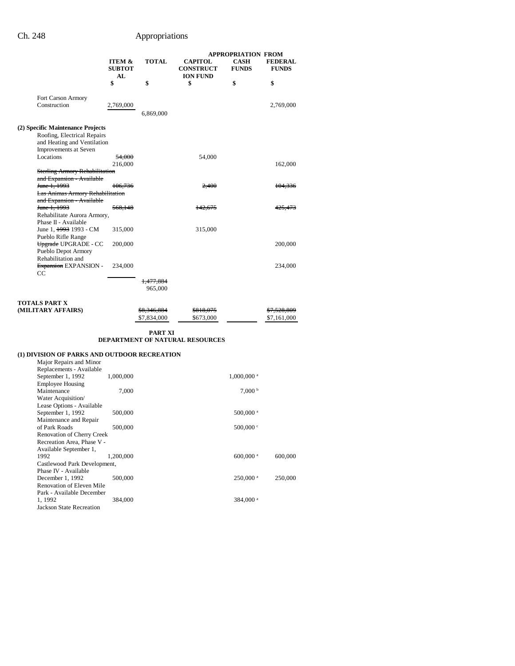Jackson State Recreation

# Ch. 248 Appropriations

|                                                                                     |                         |                                 | <b>APPROPRIATION FROM</b>          |                             |                                       |
|-------------------------------------------------------------------------------------|-------------------------|---------------------------------|------------------------------------|-----------------------------|---------------------------------------|
|                                                                                     | ITEM &<br><b>SUBTOT</b> | <b>TOTAL</b>                    | <b>CAPITOL</b><br><b>CONSTRUCT</b> | <b>CASH</b><br><b>FUNDS</b> | <b>FEDERAL</b><br><b>FUNDS</b>        |
|                                                                                     | AL<br>\$                | \$                              | <b>ION FUND</b><br>\$              | \$                          | \$                                    |
| Fort Carson Armory                                                                  |                         |                                 |                                    |                             |                                       |
| Construction                                                                        | 2,769,000               | 6,869,000                       |                                    |                             | 2,769,000                             |
| (2) Specific Maintenance Projects                                                   |                         |                                 |                                    |                             |                                       |
| Roofing, Electrical Repairs<br>and Heating and Ventilation<br>Improvements at Seven |                         |                                 |                                    |                             |                                       |
| Locations                                                                           | <del>54,000</del>       |                                 | 54,000                             |                             |                                       |
|                                                                                     | 216,000                 |                                 |                                    |                             | 162,000                               |
| <b>Sterling Armory Rehabilitation</b><br>and Expansion - Available                  |                         |                                 |                                    |                             |                                       |
| <del>June 1, 1993</del>                                                             | 106,736                 |                                 | 2,400                              |                             | 104,336                               |
| <b>Las Animas Armory Rehabilitation</b>                                             |                         |                                 |                                    |                             |                                       |
| and Expansion - Available<br><del>June 1, 1993</del>                                | 568,148                 |                                 | 142,675                            |                             | <del>425,473</del>                    |
| Rehabilitate Aurora Armory,<br>Phase II - Available                                 |                         |                                 |                                    |                             |                                       |
| June 1, <del>1993</del> 1993 - CM                                                   | 315,000                 |                                 | 315,000                            |                             |                                       |
| Pueblo Rifle Range<br>Upgrade UPGRADE - CC<br>Pueblo Depot Armory                   | 200,000                 |                                 |                                    |                             | 200,000                               |
| Rehabilitation and<br>Expansion EXPANSION -<br>$_{\rm CC}$                          | 234,000                 |                                 |                                    |                             | 234,000                               |
|                                                                                     |                         | <del>1,477,884</del><br>965,000 |                                    |                             |                                       |
|                                                                                     |                         |                                 |                                    |                             |                                       |
| TOTALS PART X<br>(MILITARY AFFAIRS)                                                 |                         | \$8,346,884<br>\$7,834,000      | <del>\$818,075</del><br>\$673,000  |                             | <del>\$7,528,809</del><br>\$7,161,000 |
|                                                                                     |                         |                                 |                                    |                             |                                       |
|                                                                                     |                         | PART XI                         | DEPARTMENT OF NATURAL RESOURCES    |                             |                                       |
| (1) DIVISION OF PARKS AND OUTDOOR RECREATION                                        |                         |                                 |                                    |                             |                                       |
| Major Repairs and Minor                                                             |                         |                                 |                                    |                             |                                       |
| Replacements - Available<br>September 1, 1992                                       | 1,000,000               |                                 |                                    | $1,000,000$ <sup>a</sup>    |                                       |
| <b>Employee Housing</b>                                                             |                         |                                 |                                    |                             |                                       |
| Maintenance<br>Water Acquisition/                                                   | 7,000                   |                                 |                                    | 7,000 <sup>b</sup>          |                                       |
| Lease Options - Available                                                           |                         |                                 |                                    |                             |                                       |
| September 1, 1992                                                                   | 500,000                 |                                 |                                    | 500,000 <sup>a</sup>        |                                       |
| Maintenance and Repair<br>of Park Roads<br>Renovation of Cherry Creek               | 500,000                 |                                 |                                    | 500,000 c                   |                                       |
| Recreation Area, Phase V -<br>Available September 1,                                |                         |                                 |                                    |                             |                                       |
| 1992<br>Castlewood Park Development,                                                | 1,200,000               |                                 |                                    | 600,000 $^{\rm a}$          | 600,000                               |
| Phase IV - Available                                                                |                         |                                 |                                    |                             |                                       |
| December 1, 1992<br>Renovation of Eleven Mile<br>Park - Available December          | 500,000                 |                                 |                                    | 250,000 <sup>a</sup>        | 250,000                               |
| 1, 1992                                                                             | 384,000                 |                                 |                                    | 384,000 <sup>a</sup>        |                                       |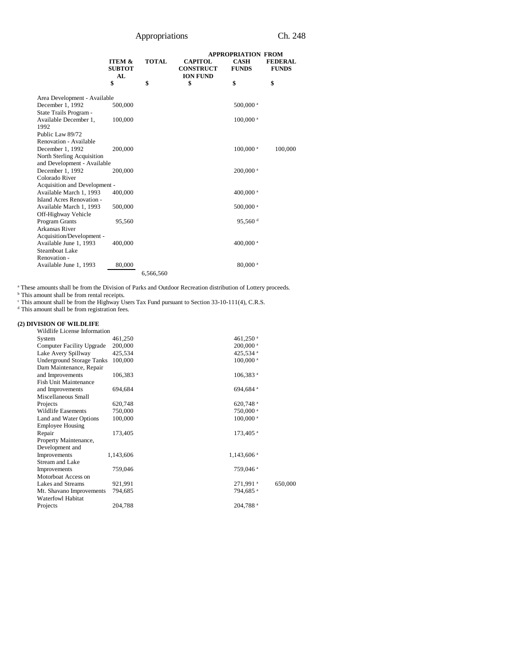|                                                           |                                          |              | <b>APPROPRIATION FROM</b>                             |                             |                                |
|-----------------------------------------------------------|------------------------------------------|--------------|-------------------------------------------------------|-----------------------------|--------------------------------|
|                                                           | <b>ITEM &amp;</b><br><b>SUBTOT</b><br>AL | <b>TOTAL</b> | <b>CAPITOL</b><br><b>CONSTRUCT</b><br><b>ION FUND</b> | <b>CASH</b><br><b>FUNDS</b> | <b>FEDERAL</b><br><b>FUNDS</b> |
|                                                           | \$                                       | \$           | \$                                                    | \$                          | \$                             |
| Area Development - Available                              |                                          |              |                                                       |                             |                                |
| December 1, 1992<br>State Trails Program -                | 500,000                                  |              |                                                       | 500,000 <sup>a</sup>        |                                |
| Available December 1,<br>1992                             | 100,000                                  |              |                                                       | $100,000$ <sup>a</sup>      |                                |
| Public Law 89/72                                          |                                          |              |                                                       |                             |                                |
| Renovation - Available                                    |                                          |              |                                                       |                             |                                |
| December 1, 1992                                          | 200,000                                  |              |                                                       | 100,000 <sup>a</sup>        | 100,000                        |
| North Sterling Acquisition<br>and Development - Available |                                          |              |                                                       |                             |                                |
| December 1, 1992                                          | 200,000                                  |              |                                                       | 200,000 <sup>a</sup>        |                                |
| Colorado River                                            |                                          |              |                                                       |                             |                                |
| Acquisition and Development -                             |                                          |              |                                                       |                             |                                |
| Available March 1, 1993                                   | 400,000                                  |              |                                                       | 400,000 <sup>a</sup>        |                                |
| Island Acres Renovation -                                 |                                          |              |                                                       |                             |                                |
| Available March 1, 1993                                   | 500,000                                  |              |                                                       | 500,000 <sup>a</sup>        |                                |
| Off-Highway Vehicle                                       |                                          |              |                                                       |                             |                                |
| <b>Program Grants</b>                                     | 95,560                                   |              |                                                       | 95,560 $d$                  |                                |
| <b>Arkansas River</b>                                     |                                          |              |                                                       |                             |                                |
| Acquisition/Development -                                 |                                          |              |                                                       |                             |                                |
| Available June 1, 1993                                    | 400,000                                  |              |                                                       | 400,000 <sup>a</sup>        |                                |
| Steamboat Lake                                            |                                          |              |                                                       |                             |                                |
| Renovation -                                              |                                          |              |                                                       |                             |                                |
| Available June 1, 1993                                    | 80,000                                   |              |                                                       | 80,000 <sup>a</sup>         |                                |
|                                                           |                                          | 6,566,560    |                                                       |                             |                                |

These amounts shall be from the Division of Parks and Outdoor Recreation distribution of Lottery proceeds.<br>
<sup>b</sup> This amount shall be from rental receipts.<br>
<sup>c</sup> This amount shall be from the Highway Users Tax Fund pursuant

### **(2) DIVISION OF WILDLIFE**

| Wildlife License Information     |           |                        |         |
|----------------------------------|-----------|------------------------|---------|
| System                           | 461,250   | 461,250 <sup>a</sup>   |         |
| Computer Facility Upgrade        | 200,000   | $200,000$ <sup>a</sup> |         |
| Lake Avery Spillway              | 425,534   | 425.534 <sup>a</sup>   |         |
| <b>Underground Storage Tanks</b> | 100,000   | 100,000 <sup>a</sup>   |         |
| Dam Maintenance, Repair          |           |                        |         |
| and Improvements                 | 106,383   | 106,383 <sup>a</sup>   |         |
| <b>Fish Unit Maintenance</b>     |           |                        |         |
| and Improvements                 | 694,684   | 694,684 <sup>a</sup>   |         |
| Miscellaneous Small              |           |                        |         |
| Projects                         | 620,748   | 620,748 <sup>a</sup>   |         |
| Wildlife Easements               | 750,000   | 750,000 <sup>a</sup>   |         |
| Land and Water Options           | 100,000   | 100,000 <sup>a</sup>   |         |
| <b>Employee Housing</b>          |           |                        |         |
| Repair                           | 173,405   | 173,405 <sup>a</sup>   |         |
| Property Maintenance,            |           |                        |         |
| Development and                  |           |                        |         |
| Improvements                     | 1,143,606 | 1,143,606 <sup>a</sup> |         |
| Stream and Lake                  |           |                        |         |
| Improvements                     | 759,046   | 759,046 <sup>a</sup>   |         |
| Motorboat Access on              |           |                        |         |
| Lakes and Streams                | 921,991   | 271,991 <sup>a</sup>   | 650,000 |
| Mt. Shavano Improvements         | 794,685   | 794,685 <sup>a</sup>   |         |
| Waterfowl Habitat                |           |                        |         |
| Projects                         | 204,788   | 204,788 <sup>a</sup>   |         |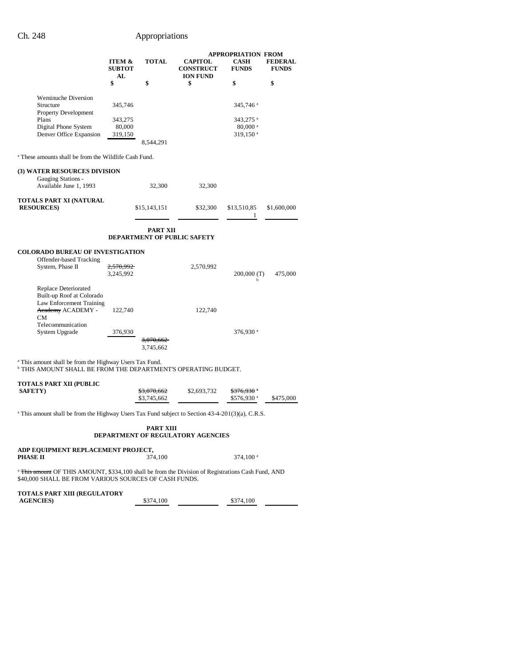|                                                                                                                                                 |                               |                            |                                                       | <b>APPROPRIATION FROM</b>                                             |                                |  |
|-------------------------------------------------------------------------------------------------------------------------------------------------|-------------------------------|----------------------------|-------------------------------------------------------|-----------------------------------------------------------------------|--------------------------------|--|
|                                                                                                                                                 | ITEM &<br><b>SUBTOT</b><br>AL | <b>TOTAL</b>               | <b>CAPITOL</b><br><b>CONSTRUCT</b><br><b>ION FUND</b> | <b>CASH</b><br><b>FUNDS</b>                                           | <b>FEDERAL</b><br><b>FUNDS</b> |  |
|                                                                                                                                                 | \$                            | \$                         | \$                                                    | \$                                                                    | \$                             |  |
| <b>Weminuche Diversion</b><br>Structure                                                                                                         | 345,746                       |                            |                                                       | 345,746 <sup>a</sup>                                                  |                                |  |
| Property Development<br>Plans<br>Digital Phone System<br>Denver Office Expansion                                                                | 343,275<br>80,000<br>319,150  | 8,544,291                  |                                                       | 343,275 <sup>a</sup><br>$80,000$ <sup>a</sup><br>319,150 <sup>a</sup> |                                |  |
| <sup>a</sup> These amounts shall be from the Wildlife Cash Fund.                                                                                |                               |                            |                                                       |                                                                       |                                |  |
| <b>(3) WATER RESOURCES DIVISION</b>                                                                                                             |                               |                            |                                                       |                                                                       |                                |  |
| Gauging Stations -<br>Available June 1, 1993                                                                                                    |                               | 32,300                     | 32,300                                                |                                                                       |                                |  |
| TOTALS PART XI (NATURAL<br><b>RESOURCES</b>                                                                                                     |                               | \$15,143,151               | \$32,300                                              | \$13,510,85<br>1                                                      | \$1,600,000                    |  |
|                                                                                                                                                 |                               | <b>PART XII</b>            | <b>DEPARTMENT OF PUBLIC SAFETY</b>                    |                                                                       |                                |  |
| <b>COLORADO BUREAU OF INVESTIGATION</b>                                                                                                         |                               |                            |                                                       |                                                                       |                                |  |
| Offender-based Tracking<br>System, Phase II                                                                                                     | 2,570,992<br>3,245,992        |                            | 2,570,992                                             | $200,000$ (T)                                                         | 475,000                        |  |
| Replace Deteriorated<br>Built-up Roof at Colorado<br>Law Enforcement Training<br>Academy ACADEMY -<br>CM                                        | 122,740                       |                            | 122,740                                               |                                                                       |                                |  |
| Telecommunication<br>System Upgrade                                                                                                             | 376,930                       | 3,070,662<br>3,745,662     |                                                       | 376,930 <sup>a</sup>                                                  |                                |  |
| <sup>a</sup> This amount shall be from the Highway Users Tax Fund.<br><sup>b</sup> THIS AMOUNT SHALL BE FROM THE DEPARTMENT'S OPERATING BUDGET. |                               |                            |                                                       |                                                                       |                                |  |
| TOTALS PART XII (PUBLIC<br><b>SAFETY</b> )                                                                                                      |                               | \$3,070,662<br>\$3,745,662 | \$2,693,732                                           | \$376,930 $^{\circ}$<br>$$576,930$ <sup>a</sup>                       | \$475,000                      |  |
| <sup>a</sup> This amount shall be from the Highway Users Tax Fund subject to Section 43-4-201(3)(a), C.R.S.                                     |                               |                            |                                                       |                                                                       |                                |  |
|                                                                                                                                                 |                               | <b>PART XIII</b>           | <b>DEPARTMENT OF REGULATORY AGENCIES</b>              |                                                                       |                                |  |

| ADP EQUIPMENT REPLACEMENT PROJECT, |         |             |  |  |
|------------------------------------|---------|-------------|--|--|
| PHASE II                           | 374.100 | $374.100$ a |  |  |
|                                    |         |             |  |  |

<sup>a</sup> This amount OF THIS AMOUNT, \$334,100 shall be from the Division of Registrations Cash Fund, AND \$40,000 SHALL BE FROM VARIOUS SOURCES OF CASH FUNDS.

| TOTALS PART XIII (REGULATORY) |           |           |  |
|-------------------------------|-----------|-----------|--|
| <b>AGENCIES</b>               | \$374,100 | \$374,100 |  |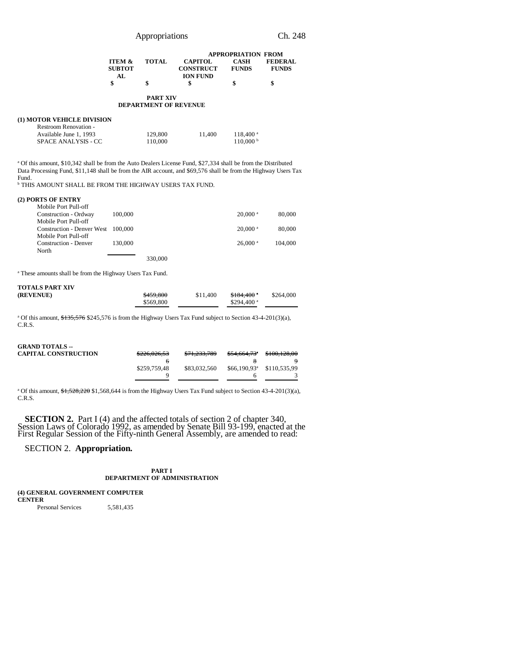|                   |              | <b>APPROPRIATION FROM</b> |              |                |  |  |
|-------------------|--------------|---------------------------|--------------|----------------|--|--|
| <b>ITEM &amp;</b> | <b>TOTAL</b> | <b>CAPITOL</b>            | CASH         | <b>FEDERAL</b> |  |  |
| <b>SUBTOT</b>     |              | <b>CONSTRUCT</b>          | <b>FUNDS</b> | <b>FUNDS</b>   |  |  |
| AL.               |              | <b>ION FUND</b>           |              |                |  |  |
|                   | \$           | S                         | \$           |                |  |  |

### **PART XIV DEPARTMENT OF REVENUE**

### **(1) MOTOR VEHICLE DIVISION**

| Restroom Renovation -      |         |        |                        |
|----------------------------|---------|--------|------------------------|
| Available June 1, 1993     | 129,800 | 11.400 | $118,400^{\text{ a}}$  |
| <b>SPACE ANALYSIS - CC</b> | 110,000 |        | $110,000^{\mathrm{b}}$ |

a Of this amount, \$10,342 shall be from the Auto Dealers License Fund, \$27,334 shall be from the Distributed Data Processing Fund, \$11,148 shall be from the AIR account, and \$69,576 shall be from the Highway Users Tax Fund.

**b** THIS AMOUNT SHALL BE FROM THE HIGHWAY USERS TAX FUND.

| (2) PORTS OF ENTRY |  |  |
|--------------------|--|--|
|--------------------|--|--|

| Mobile Port Pull-off              |         |         |                       |         |
|-----------------------------------|---------|---------|-----------------------|---------|
| Construction - Ordway             | 100,000 |         | $20,000$ <sup>a</sup> | 80,000  |
| Mobile Port Pull-off              |         |         |                       |         |
| <b>Construction - Denver West</b> | 100.000 |         | $20,000$ <sup>a</sup> | 80,000  |
| Mobile Port Pull-off              |         |         |                       |         |
| Construction - Denver             | 130,000 |         | $26,000$ <sup>a</sup> | 104,000 |
| North                             |         |         |                       |         |
|                                   |         | 330,000 |                       |         |
|                                   |         |         |                       |         |

<sup>a</sup> These amounts shall be from the Highway Users Tax Fund.

| <b>TOTALS PART XIV</b> |           |          |                |           |
|------------------------|-----------|----------|----------------|-----------|
| (REVENUE)              | \$459,800 | \$11,400 | $$184,400$ $"$ | \$264,000 |
|                        | \$569,800 |          | \$294,400 $a$  |           |

<sup>a</sup> Of this amount, \$135,576 \$245,576 is from the Highway Users Tax Fund subject to Section 43-4-201(3)(a), C.R.S.

## **GRAND TOTALS --**

| <b>CAPITAL CONSTRUCTION</b> | 0.006000000<br>5220.020.33 | <del>\$71,233,789</del> | \$54,664,73 <sup>*</sup> | \$100,128,00 |
|-----------------------------|----------------------------|-------------------------|--------------------------|--------------|
|                             |                            |                         |                          |              |
|                             | \$259,759.48               | \$83,032,560            | $$66.190.93^{\circ}$$    | \$110,535.99 |
|                             |                            |                         |                          |              |
|                             |                            |                         |                          |              |

<sup>a</sup> Of this amount, \$1,528,220 \$1,568,644 is from the Highway Users Tax Fund subject to Section 43-4-201(3)(a), C.R.S.

**SECTION 2.** Part I (4) and the affected totals of section 2 of chapter 340, Session Laws of Colorado 1992, as amended by Senate Bill 93-199, enacted at the First Regular Session of the Fifty-ninth General Assembly, are amended to read:

SECTION 2. **Appropriation.**

### **PART I DEPARTMENT OF ADMINISTRATION**

**(4) GENERAL GOVERNMENT COMPUTER CENTER**

Personal Services 5,581,435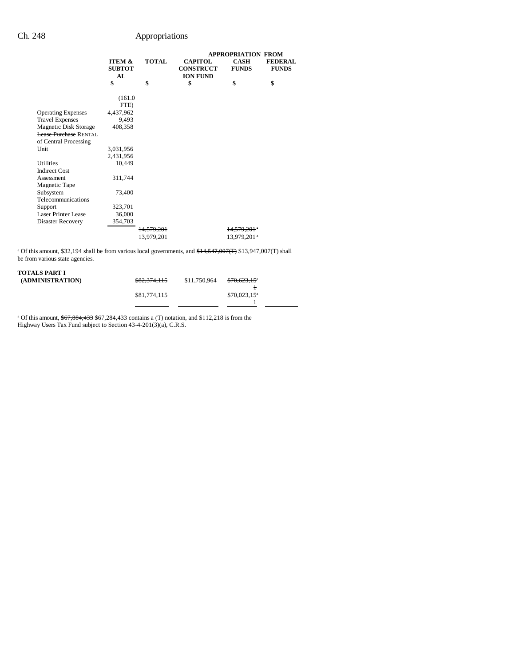|                              |                                |                       |                                                       | <b>APPROPRIATION FROM</b>   |                                |
|------------------------------|--------------------------------|-----------------------|-------------------------------------------------------|-----------------------------|--------------------------------|
|                              | ITEM &<br><b>SUBTOT</b><br>AI. | <b>TOTAL</b>          | <b>CAPITOL</b><br><b>CONSTRUCT</b><br><b>ION FUND</b> | <b>CASH</b><br><b>FUNDS</b> | <b>FEDERAL</b><br><b>FUNDS</b> |
|                              | \$                             | \$                    | \$                                                    | \$                          | \$                             |
|                              | (161.0)                        |                       |                                                       |                             |                                |
|                              | FTE)                           |                       |                                                       |                             |                                |
| <b>Operating Expenses</b>    | 4,437,962                      |                       |                                                       |                             |                                |
| <b>Travel Expenses</b>       | 9,493                          |                       |                                                       |                             |                                |
| Magnetic Disk Storage        | 408,358                        |                       |                                                       |                             |                                |
| <b>Lease Purchase RENTAL</b> |                                |                       |                                                       |                             |                                |
| of Central Processing        |                                |                       |                                                       |                             |                                |
| Unit                         | 3,031,956                      |                       |                                                       |                             |                                |
|                              | 2,431,956                      |                       |                                                       |                             |                                |
| Utilities                    | 10,449                         |                       |                                                       |                             |                                |
| <b>Indirect Cost</b>         |                                |                       |                                                       |                             |                                |
| Assessment                   | 311,744                        |                       |                                                       |                             |                                |
| Magnetic Tape                |                                |                       |                                                       |                             |                                |
| Subsystem                    | 73,400                         |                       |                                                       |                             |                                |
| Telecommunications           |                                |                       |                                                       |                             |                                |
| Support                      | 323,701                        |                       |                                                       |                             |                                |
| Laser Printer Lease          | 36,000                         |                       |                                                       |                             |                                |
| Disaster Recovery            | 354,703                        |                       |                                                       |                             |                                |
|                              |                                | <del>14.579.201</del> |                                                       | 14.579.201                  |                                |
|                              |                                | 13,979,201            |                                                       | 13,979,201 <sup>a</sup>     |                                |

<sup>a</sup> Of this amount, \$32,194 shall be from various local governments, and  $$14,547,007(T)$  \$13,947,007(T) shall be from various state agencies.

# **TOTALS PART I**

| (ADMINISTRATION) | <del>\$82,374,115</del> | \$11,750,964 | \$70,623,15 <sup>*</sup> |  |
|------------------|-------------------------|--------------|--------------------------|--|
|                  |                         |              | ÷                        |  |
|                  | \$81,774,115            |              | $$70.023.15^a$           |  |
|                  |                         |              |                          |  |
|                  |                         |              |                          |  |

<sup>a</sup> Of this amount, \$67,884,433 \$67,284,433 contains a (T) notation, and \$112,218 is from the Highway Users Tax Fund subject to Section 43-4-201(3)(a), C.R.S.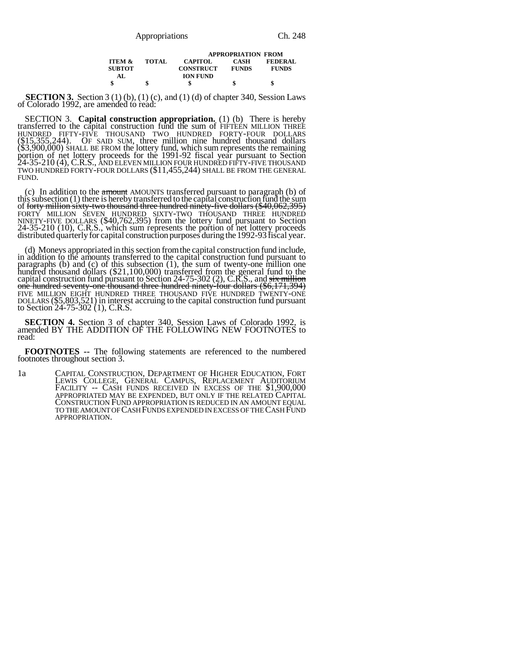|                   |              | <b>APPROPRIATION FROM</b> |              |                |  |
|-------------------|--------------|---------------------------|--------------|----------------|--|
| <b>ITEM &amp;</b> | <b>TOTAL</b> | <b>CAPITOL</b>            | CASH         | <b>FEDERAL</b> |  |
| <b>SUBTOT</b>     |              | <b>CONSTRUCT</b>          | <b>FUNDS</b> | <b>FUNDS</b>   |  |
| AL.               |              | <b>ION FUND</b>           |              |                |  |
|                   |              |                           |              |                |  |

**SECTION 3.** Section 3 (1) (b), (1) (c), and (1) (d) of chapter 340, Session Laws of Colorado 1992, are amended to read:

SECTION 3. **Capital construction appropriation.** (1) (b) There is hereby transferred to the capital construction fund the sum of FIFTEEN MILLION THREE HUNDRED FIFTY-FIVE THOUSAND TWO HUNDRED FORTY-FOUR DOLLARS (\$15,355,244). OF SAID SUM, three million nine hundred thousand dollars (\$3,900,000) SHALL BE FROM the lottery fund, which sum represents the remaining<br>portion of net lottery proceeds for the 1991-92 fiscal year pursuant to Section<br>24-35-210 (4), C.R.S., AND ELEVEN MILLION FOUR HUNDRED FIFTY-F TWO HUNDRED FORTY-FOUR DOLLARS (\$11,455,244) SHALL BE FROM THE GENERAL FUND.

(c) In addition to the  $\frac{1}{2}$  amount AMOUNTS transferred pursuant to paragraph (b) of this subsection (1) there is hereby transferred to the capital construction fund the sum of forty million sixty-two thousand three hundred ninety-five dollars (\$40,062,395) FORTY MILLION SEVEN HUNDRED SIXTY-TWO THOUSAND THREE HUNDRED NINETY-FIVE DOLLARS (\$40,762,395) from the lottery fund pursuant to Section 24-35-210 (10), C.R.S., which sum represents the portion of net lottery proceeds distributed quarterly for capital construction purposes during the 1992-93 fiscal year.

(d) Moneys appropriated in this section from the capital construction fund include, in addition to the amounts transferred to the capital construction fund pursuant to paragraphs (b) and (c) of this subsection (1), the sum of twenty-one million one hundred thousand dollars (\$21,100,000) transferred from the general fund to the capital construction fund pursuant to Section 24-75-302 (2), C.R.S., and <del>six million</del><br>one hundred seventy-one thousand three hundred ninety-four dollars (\$6,171,394) FIVE MILLION EIGHT HUNDRED THREE THOUSAND FIVE HUNDRED TWENTY-ONE DOLLARS (\$5,803,521) in interest accruing to the capital construction fund pursuant to Section 24-75-302 (1), C.R.S.

**SECTION 4.** Section 3 of chapter 340, Session Laws of Colorado 1992, is amended BY THE ADDITION OF THE FOLLOWING NEW FOOTNOTES to read:

**FOOTNOTES --** The following statements are referenced to the numbered footnotes throughout section 3.

1a CAPITAL CONSTRUCTION, DEPARTMENT OF HIGHER EDUCATION, FORT LEWIS COLLEGE, GENERAL CAMPUS, REPLACEMENT AUDITORIUM FACILITY -- CASH FUNDS RECEIVED IN EXCESS OF THE \$1,900,000 APPROPRIATED MAY BE EXPENDED, BUT ONLY IF THE RELATED CAPITAL CONSTRUCTION FUND APPROPRIATION IS REDUCED IN AN AMOUNT EQUAL TO THE AMOUNT OF CASH FUNDS EXPENDED IN EXCESS OF THE CASH FUND APPROPRIATION.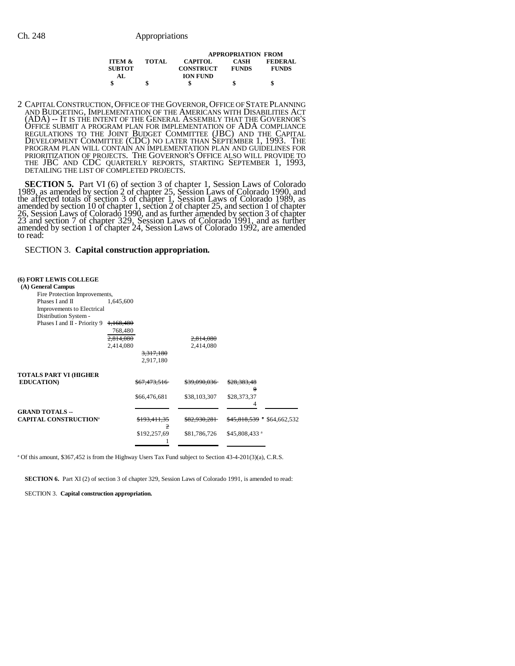|                   |        | <b>APPROPRIATION FROM</b> |              |                |  |
|-------------------|--------|---------------------------|--------------|----------------|--|
| <b>ITEM &amp;</b> | TOTAL. | <b>CAPITOL</b>            | <b>CASH</b>  | <b>FEDERAL</b> |  |
| <b>SUBTOT</b>     |        | <b>CONSTRUCT</b>          | <b>FUNDS</b> | <b>FUNDS</b>   |  |
| AL.               |        | <b>ION FUND</b>           |              |                |  |
|                   |        | S                         | \$           | S              |  |

2 CAPITAL CONSTRUCTION,OFFICE OF THE GOVERNOR,OFFICE OF STATE PLANNING AND BUDGETING, IMPLEMENTATION OF THE AMERICANS WITH DISABILITIES ACT (ADA) -- IT IS THE INTENT OF THE GENERAL ASSEMBLY THAT THE GOVERNOR'S OFFICE SUBMIT A PROGRAM PLAN FOR IMPLEMENTATION OF ADA COMPLIANCE REGULATIONS TO THE JOINT BUDGET COMMITTEE (JBC) AND THE CAPITAL DEVELOPMENT COMMITTEE (CDC) NO LATER THAN SEPTEMBER 1, 1993. THE PROGRAM PLAN WILL CONTAIN AN IMPLEMENTATION PLAN AND GUIDELINES FOR PRIORITIZATION OF PROJECTS. THE GOVERNOR'S OFFICE ALSO WILL PROVIDE TO THE JBC AND CDC QUARTERLY REPORTS, STARTING SEPTEMBER 1, 1993, DETAILING THE LIST OF COMPLETED PROJECTS.

**SECTION 5.** Part VI (6) of section 3 of chapter 1, Session Laws of Colorado 1990, and 1989, as amended by section 2 of chapter 25, Session Laws of Colorado 1990, and the affected totals of section 3 of chapter 1, Session Laws of Colorado 1989, as amended by section 10 of chapter 1, section 2 of chapter 25, and section 1 of chapter 26, Session Laws of Colorado 1990, and as further amended by section 3 of chapter 23 and section 7 of chapter 329, Session Laws of Colorado 1991, and as further amended by section 1 of chapter 24, Session Laws of Colorado 1992, are amended to read:

SECTION 3. **Capital construction appropriation.**

## **(6) FORT LEWIS COLLEGE**

| (A) General Campus            |           |                         |                         |                           |              |
|-------------------------------|-----------|-------------------------|-------------------------|---------------------------|--------------|
| Fire Protection Improvements, |           |                         |                         |                           |              |
| Phases I and II               | 1,645,600 |                         |                         |                           |              |
| Improvements to Electrical    |           |                         |                         |                           |              |
| Distribution System -         |           |                         |                         |                           |              |
| Phases I and II - Priority 9  | 1,168,480 |                         |                         |                           |              |
|                               | 768,480   |                         |                         |                           |              |
|                               | 2.814.080 |                         | 2,814,080               |                           |              |
|                               | 2,414,080 |                         | 2,414,080               |                           |              |
|                               |           | 3,317,180               |                         |                           |              |
|                               |           | 2,917,180               |                         |                           |              |
|                               |           |                         |                         |                           |              |
| TOTALS PART VI (HIGHER        |           |                         |                         |                           |              |
| <b>EDUCATION</b>              |           | <del>\$67.473.516</del> | <del>\$39,090,036</del> | \$28,383,48               |              |
|                               |           |                         |                         | θ                         |              |
|                               |           | \$66,476,681            | \$38,103,307            | \$28,373,37               |              |
| <b>GRAND TOTALS --</b>        |           |                         |                         |                           |              |
| <b>CAPITAL CONSTRUCTION®</b>  |           | <del>\$193,411,35</del> | <del>\$82,930,281</del> | \$45,818,539 a            | \$64,662,532 |
|                               |           | 2                       |                         |                           |              |
|                               |           | \$192,257,69            | \$81,786,726            | \$45,808,433 <sup>a</sup> |              |
|                               |           |                         |                         |                           |              |
|                               |           |                         |                         |                           |              |

a Of this amount, \$367,452 is from the Highway Users Tax Fund subject to Section 43-4-201(3)(a), C.R.S.

**SECTION 6.** Part XI (2) of section 3 of chapter 329, Session Laws of Colorado 1991, is amended to read:

SECTION 3. **Capital construction appropriation.**